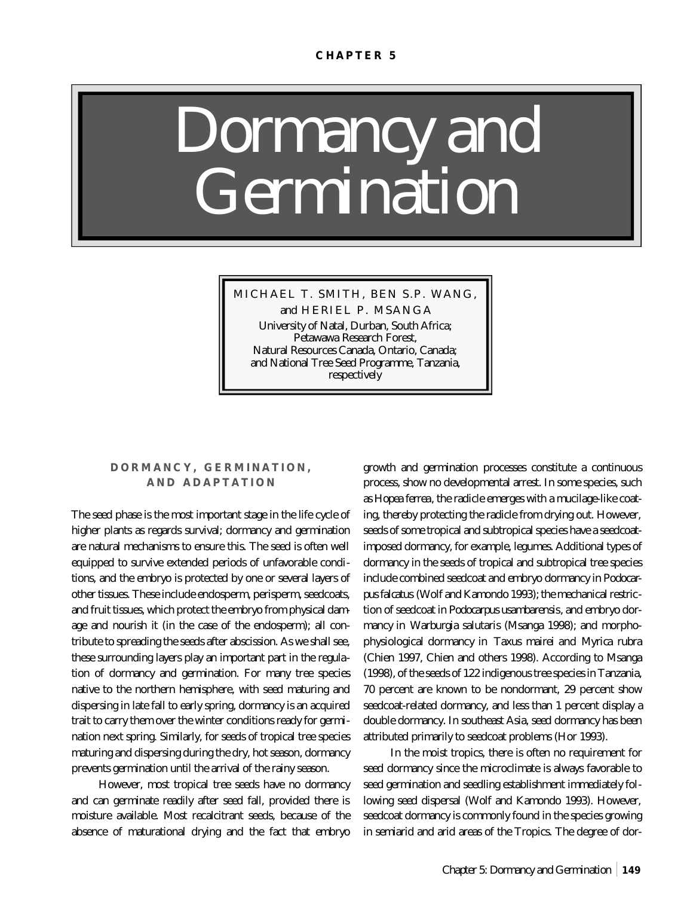# *Dormancy and Germination*

MICHAEL T. SMITH, BEN S.P. WANG,

and HERIEL P. MSANGA University of Natal, Durban, South Africa; Petawawa Research Forest, Natural Resources Canada, Ontario, Canada; and National Tree Seed Programme, Tanzania, respectively

## **DORMANCY, GERMINATION, AND ADAPTATION**

The seed phase is the most important stage in the life cycle of higher plants as regards survival; dormancy and germination are natural mechanisms to ensure this. The seed is often well equipped to survive extended periods of unfavorable conditions, and the embryo is protected by one or several layers of other tissues. These include endosperm, perisperm, seedcoats, and fruit tissues, which protect the embryo from physical damage and nourish it (in the case of the endosperm); all contribute to spreading the seeds after abscission. As we shall see, these surrounding layers play an important part in the regulation of dormancy and germination. For many tree species native to the northern hemisphere, with seed maturing and dispersing in late fall to early spring, dormancy is an acquired trait to carry them over the winter conditions ready for germination next spring. Similarly, for seeds of tropical tree species maturing and dispersing during the dry, hot season, dormancy prevents germination until the arrival of the rainy season.

However, most tropical tree seeds have no dormancy and can germinate readily after seed fall, provided there is moisture available. Most recalcitrant seeds, because of the absence of maturational drying and the fact that embryo

growth and germination processes constitute a continuous process, show no developmental arrest. In some species, such as *Hopea ferrea*, the radicle emerges with a mucilage-like coating, thereby protecting the radicle from drying out. However, seeds of some tropical and subtropical species have a seedcoatimposed dormancy, for example, legumes. Additional types of dormancy in the seeds of tropical and subtropical tree species include combined seedcoat and embryo dormancy in *Podocarpus falcatus* (Wolf and Kamondo 1993); the mechanical restriction of seedcoat in *Podocarpus usambarensis*, and embryo dormancy in *Warburgia salutaris* (Msanga 1998); and morphophysiological dormancy in *Taxus mairei* and *Myrica rubra* (Chien 1997, Chien and others 1998). According to Msanga (1998), of the seeds of 122 indigenous tree species in Tanzania, 70 percent are known to be nondormant, 29 percent show seedcoat-related dormancy, and less than 1 percent display a double dormancy. In southeast Asia, seed dormancy has been attributed primarily to seedcoat problems (Hor 1993).

In the moist tropics, there is often no requirement for seed dormancy since the microclimate is always favorable to seed germination and seedling establishment immediately following seed dispersal (Wolf and Kamondo 1993). However, seedcoat dormancy is commonly found in the species growing in semiarid and arid areas of the Tropics. The degree of dor-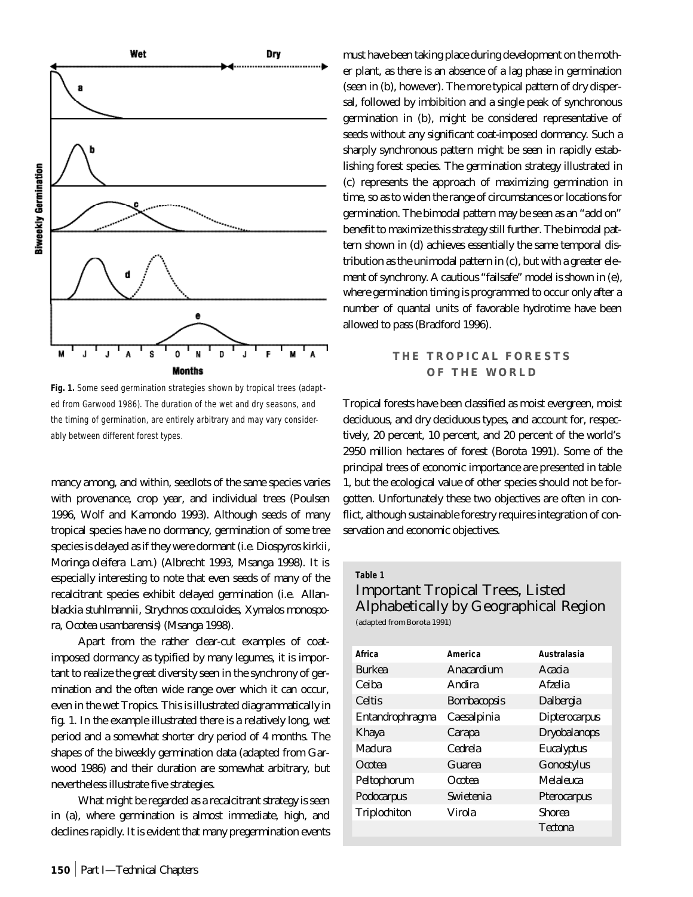

**Fig. 1.** Some seed germination strategies shown by tropical trees (adapted from Garwood 1986). The duration of the wet and dry seasons, and the timing of germination, are entirely arbitrary and may vary considerably between different forest types.

mancy among, and within, seedlots of the same species varies with provenance, crop year, and individual trees (Poulsen 1996, Wolf and Kamondo 1993). Although seeds of many tropical species have no dormancy, germination of some tree species is delayed as if they were dormant (i.e. *Diospyros kirkii, Moringa oleifera* Lam.) (Albrecht 1993, Msanga 1998). It is especially interesting to note that even seeds of many of the recalcitrant species exhibit delayed germination (i.e. *Allanblackia stuhlmannii, Strychnos cocculoides, Xymalos monospora, Ocotea usambarensis*) (Msanga 1998).

Apart from the rather clear-cut examples of coatimposed dormancy as typified by many legumes, it is important to realize the great diversity seen in the synchrony of germination and the often wide range over which it can occur, even in the wet Tropics. This is illustrated diagrammatically in fig. 1. In the example illustrated there is a relatively long, wet period and a somewhat shorter dry period of 4 months. The shapes of the biweekly germination data (adapted from Garwood 1986) and their duration are somewhat arbitrary, but nevertheless illustrate five strategies.

What might be regarded as a recalcitrant strategy is seen in (a), where germination is almost immediate, high, and declines rapidly. It is evident that many pregermination events must have been taking place during development on the mother plant, as there is an absence of a lag phase in germination (seen in (b), however). The more typical pattern of dry dispersal, followed by imbibition and a single peak of synchronous germination in (b), might be considered representative of seeds without any significant coat-imposed dormancy. Such a sharply synchronous pattern might be seen in rapidly establishing forest species. The germination strategy illustrated in (c) represents the approach of maximizing germination in time, so as to widen the range of circumstances or locations for germination. The bimodal pattern may be seen as an "add on" benefit to maximize this strategy still further. The bimodal pattern shown in (d) achieves essentially the same temporal distribution as the unimodal pattern in (c), but with a greater element of synchrony. A cautious "failsafe" model is shown in (e), where germination timing is programmed to occur only after a number of quantal units of favorable hydrotime have been allowed to pass (Bradford 1996).

# **THE TROPICAL FORESTS OF THE WORLD**

Tropical forests have been classified as moist evergreen, moist deciduous, and dry deciduous types, and account for, respectively, 20 percent, 10 percent, and 20 percent of the world's 2950 million hectares of forest (Borota 1991). Some of the principal trees of economic importance are presented in table 1, but the ecological value of other species should not be forgotten. Unfortunately these two objectives are often in conflict, although sustainable forestry requires integration of conservation and economic objectives.

#### **Table 1**

# Important Tropical Trees, Listed Alphabetically by Geographical Region (adapted from Borota 1991)

| Africa                 | America                 | Australasia          |
|------------------------|-------------------------|----------------------|
| <b>Burkea</b>          | Anacardium              | Acacia               |
| Ceiba                  | Andira                  | Afzelia              |
| <b>Celtis</b>          | <b>Bombacopsis</b>      | <i>Dalbergia</i>     |
| <b>Entandrophragma</b> | Caesalpinia             | <b>Dipterocarpus</b> |
| <b>Khaya</b>           | Carapa                  | <b>Dryobalanops</b>  |
| Maclura                | <i>Cedrela</i>          | <b>Eucalyptus</b>    |
| <i><b>Ocotea</b></i>   | Guarea                  | <b>Gonostylus</b>    |
| Peltophorum            | Ocotea                  | <b>Melaleuca</b>     |
| Podocarpus             | <i><b>Swietenia</b></i> | <b>Pterocarpus</b>   |
| <b>Triplochiton</b>    | Virola                  | <b>Shorea</b>        |
|                        |                         | <b>Tectona</b>       |
|                        |                         |                      |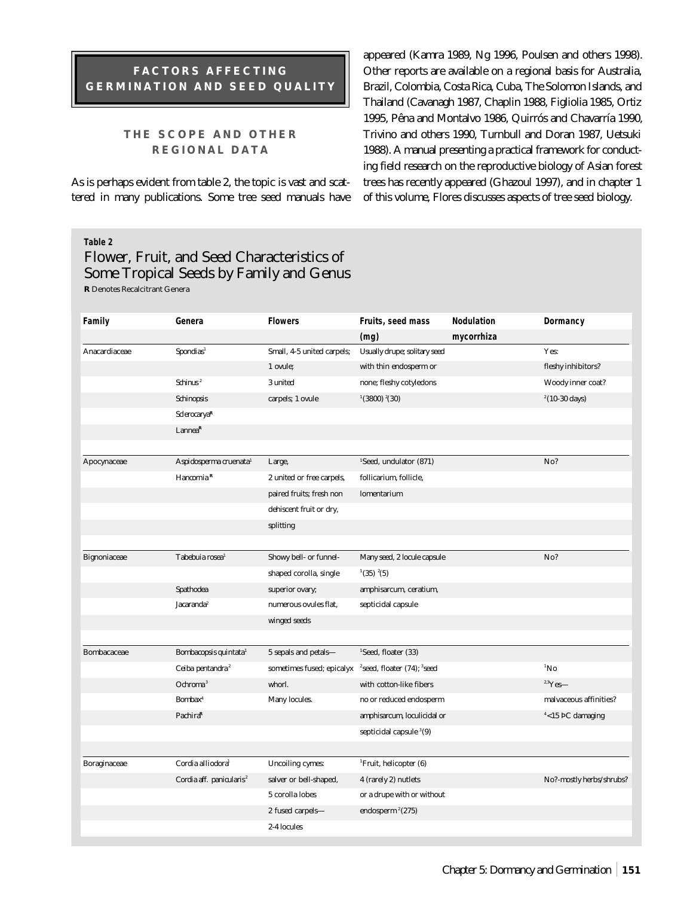# **FACTORS AFFECTING GERMINATION AND SEED QUALITY**

## **THE SCOPE AND OTHER REGIONAL DATA**

As is perhaps evident from table 2, the topic is vast and scattered in many publications. Some tree seed manuals have appeared (Kamra 1989, Ng 1996, Poulsen and others 1998). Other reports are available on a regional basis for Australia, Brazil, Colombia, Costa Rica, Cuba, The Solomon Islands, and Thailand (Cavanagh 1987, Chaplin 1988, Figliolia 1985, Ortiz 1995, Pêna and Montalvo 1986, Quirrós and Chavarría 1990, Trivino and others 1990, Turnbull and Doran 1987, Uetsuki 1988). A manual presenting a practical framework for conducting field research on the reproductive biology of Asian forest trees has recently appeared (Ghazoul 1997), and in chapter 1 of this volume, Flores discusses aspects of tree seed biology.

#### **Table 2**

# Flower, Fruit, and Seed Characteristics of Some Tropical Seeds by Family and Genus **R** Denotes Recalcitrant Genera

| Family              | Genera                               | <b>Flowers</b>             | Fruits, seed mass                                     | <b>Nodulation</b> | Dormancy                 |
|---------------------|--------------------------------------|----------------------------|-------------------------------------------------------|-------------------|--------------------------|
|                     |                                      |                            | (mq)                                                  | mycorrhiza        |                          |
| Anacardiaceae       | Spondias <sup>1</sup>                | Small, 4-5 united carpels; | Usually drupe; solitary seed                          |                   | Yes:                     |
|                     |                                      | 1 ovule;                   | with thin endosperm or                                |                   | fleshy inhibitors?       |
|                     | Schinus <sup>2</sup>                 | 3 united                   | none; fleshy cotyledons                               |                   | Woody inner coat?        |
|                     | <b>Schinopsis</b>                    | carpels; 1 ovule           | $(3800)$ $(30)$                                       |                   | $2(10-30 \text{ days})$  |
|                     | <b>Sclerocarya<sup>R</sup></b>       |                            |                                                       |                   |                          |
|                     | Lannea <sup>R</sup>                  |                            |                                                       |                   |                          |
|                     |                                      |                            |                                                       |                   |                          |
| Apocynaceae         | Aspidosperma cruenata <sup>1</sup>   | Large,                     | <sup>1</sup> Seed, undulator (871)                    |                   | No?                      |
|                     | Hancornia <sup>R</sup>               | 2 united or free carpels,  | follicarium, follicle,                                |                   |                          |
|                     |                                      | paired fruits; fresh non   | lomentarium                                           |                   |                          |
|                     |                                      | dehiscent fruit or dry,    |                                                       |                   |                          |
|                     |                                      | splitting                  |                                                       |                   |                          |
|                     |                                      |                            |                                                       |                   |                          |
| <b>Bignoniaceae</b> | Tabebuia rosea <sup>1</sup>          | Showy bell- or funnel-     | Many seed, 2 locule capsule                           |                   | No?                      |
|                     |                                      | shaped corolla, single     | $^{1}(35)$ $^{2}(5)$                                  |                   |                          |
|                     | Spathodea                            | superior ovary;            | amphisarcum, ceratium,                                |                   |                          |
|                     | Jacaranda <sup>2</sup>               | numerous ovules flat,      | septicidal capsule                                    |                   |                          |
|                     |                                      | winged seeds               |                                                       |                   |                          |
|                     |                                      |                            |                                                       |                   |                          |
| Bombacaceae         | Bombacopsis quintata <sup>1</sup>    | 5 sepals and petals-       | <sup>1</sup> Seed, floater (33)                       |                   |                          |
|                     | Ceiba pentandra <sup>2</sup>         | sometimes fused; epicalyx  | <sup>2</sup> seed, floater $(74)$ ; <sup>3</sup> seed |                   | $\mathrm{^{1}No}$        |
|                     | Ochroma <sup>3</sup>                 | whorl.                     | with cotton-like fibers                               |                   | $\mathrm{^{2,3}Yes}-$    |
|                     | <b>Bombax</b> <sup>4</sup>           | Many locules.              | no or reduced endosperm                               |                   | malvaceous affinities?   |
|                     | Pachira <sup>R</sup>                 |                            | amphisarcum, loculicidal or                           |                   | $4$ <15 PC damaging      |
|                     |                                      |                            | septicidal capsule $3(9)$                             |                   |                          |
|                     |                                      |                            |                                                       |                   |                          |
| Boraginaceae        | Cordia alliodora <sup>1</sup>        | <b>Uncoiling cymes:</b>    | <sup>1</sup> Fruit, helicopter (6)                    |                   |                          |
|                     | Cordia aff. panicularis <sup>2</sup> | salver or bell-shaped,     | 4 (rarely 2) nutlets                                  |                   | No?-mostly herbs/shrubs? |
|                     |                                      | 5 corolla lobes            | or a drupe with or without                            |                   |                          |
|                     |                                      | 2 fused carpels-           | endosperm $2(275)$                                    |                   |                          |
|                     |                                      | 2-4 locules                |                                                       |                   |                          |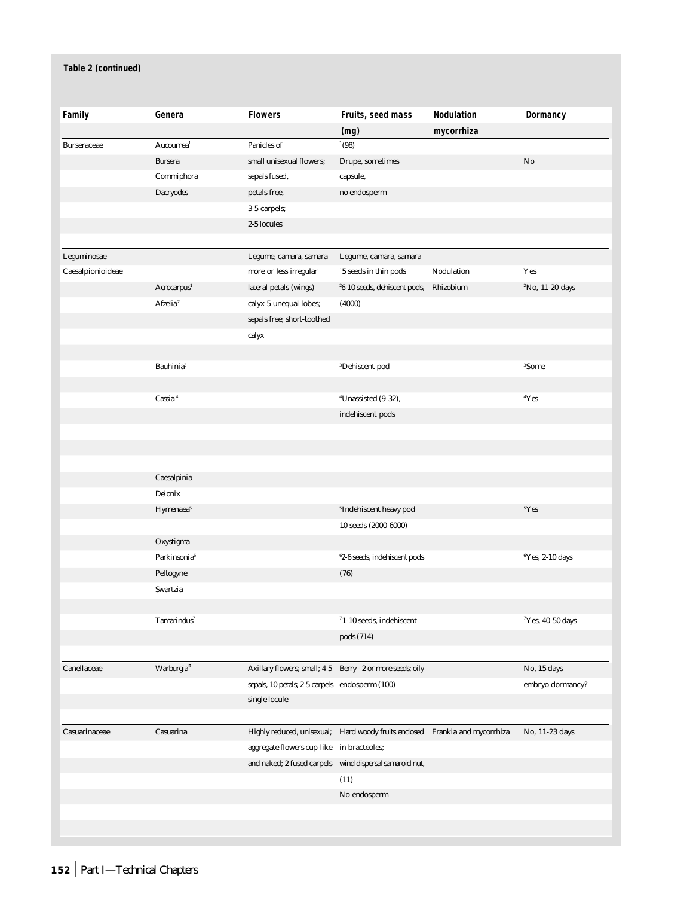| Family             | Genera                       | <b>Flowers</b>                                 | Fruits, seed mass                                                            | Nodulation | Dormancy                    |
|--------------------|------------------------------|------------------------------------------------|------------------------------------------------------------------------------|------------|-----------------------------|
|                    |                              |                                                | (mg)                                                                         | mycorrhiza |                             |
| <b>Burseraceae</b> | Aucoumea <sup>1</sup>        | Panicles of                                    | (98)                                                                         |            |                             |
|                    | <b>Bursera</b>               | small unisexual flowers;                       | Drupe, sometimes                                                             |            | No                          |
|                    | Commiphora                   | sepals fused,                                  | capsule,                                                                     |            |                             |
|                    | <b>Dacryodes</b>             | petals free,                                   | no endosperm                                                                 |            |                             |
|                    |                              | 3-5 carpels;                                   |                                                                              |            |                             |
|                    |                              | 2-5 locules                                    |                                                                              |            |                             |
|                    |                              |                                                |                                                                              |            |                             |
| Leguminosae-       |                              | Legume, camara, samara                         | Legume, camara, samara                                                       |            |                             |
| Caesalpionioideae  |                              | more or less irregular                         | $^{\rm 15}$ seeds in thin pods                                               | Nodulation | Yes                         |
|                    | Acrocarpus <sup>1</sup>      | lateral petals (wings)                         | <sup>2</sup> 6-10 seeds, dehiscent pods,                                     | Rhizobium  | <sup>2</sup> No, 11-20 days |
|                    | $A$ fzelia <sup>2</sup>      | calyx 5 unequal lobes;                         | (4000)                                                                       |            |                             |
|                    |                              | sepals free; short-toothed                     |                                                                              |            |                             |
|                    |                              | calyx                                          |                                                                              |            |                             |
|                    |                              |                                                |                                                                              |            |                             |
|                    | <b>Bauhinia</b> <sup>3</sup> |                                                | <sup>3</sup> Dehiscent pod                                                   |            | <sup>3</sup> Some           |
|                    |                              |                                                |                                                                              |            |                             |
|                    | $\textit{Cassia}^4$          |                                                | <sup>4</sup> Unassisted (9-32),                                              |            | 4Yes                        |
|                    |                              |                                                | indehiscent pods                                                             |            |                             |
|                    |                              |                                                |                                                                              |            |                             |
|                    |                              |                                                |                                                                              |            |                             |
|                    |                              |                                                |                                                                              |            |                             |
|                    | Caesalpinia                  |                                                |                                                                              |            |                             |
|                    | Delonix                      |                                                |                                                                              |            |                             |
|                    | Hymenaea <sup>5</sup>        |                                                | <sup>5</sup> Indehiscent heavy pod                                           |            | <sup>5</sup> Yes            |
|                    |                              |                                                | 10 seeds (2000-6000)                                                         |            |                             |
|                    | Oxystigma                    |                                                |                                                                              |            |                             |
|                    | Parkinsonia <sup>6</sup>     |                                                | <sup>6</sup> 2-6 seeds, indehiscent pods                                     |            | <sup>6</sup> Yes, 2-10 days |
|                    | Peltogyne                    |                                                | (76)                                                                         |            |                             |
|                    | Swartzia                     |                                                |                                                                              |            |                             |
|                    |                              |                                                |                                                                              |            |                             |
|                    | Tamarindus <sup>7</sup>      |                                                | $71-10$ seeds, indehiscent                                                   |            | $7$ Yes, 40-50 days         |
|                    |                              |                                                | pods (714)                                                                   |            |                             |
|                    |                              |                                                |                                                                              |            |                             |
| Canellaceae        | Warburgia <sup>R</sup>       |                                                | Axillary flowers; small; 4-5 Berry - 2 or more seeds; oily                   |            | No, 15 days                 |
|                    |                              | sepals, 10 petals; 2-5 carpels endosperm (100) |                                                                              |            | embryo dormancy?            |
|                    |                              | single locule                                  |                                                                              |            |                             |
|                    |                              |                                                |                                                                              |            |                             |
| Casuarinaceae      | Casuarina                    |                                                | Highly reduced, unisexual; Hard woody fruits enclosed Frankia and mycorrhiza |            | No, 11-23 days              |
|                    |                              | aggregate flowers cup-like                     | in bracteoles;                                                               |            |                             |
|                    |                              | and naked; 2 fused carpels                     | wind dispersal samaroid nut,                                                 |            |                             |
|                    |                              |                                                | (11)                                                                         |            |                             |
|                    |                              |                                                | No endosperm                                                                 |            |                             |
|                    |                              |                                                |                                                                              |            |                             |
|                    |                              |                                                |                                                                              |            |                             |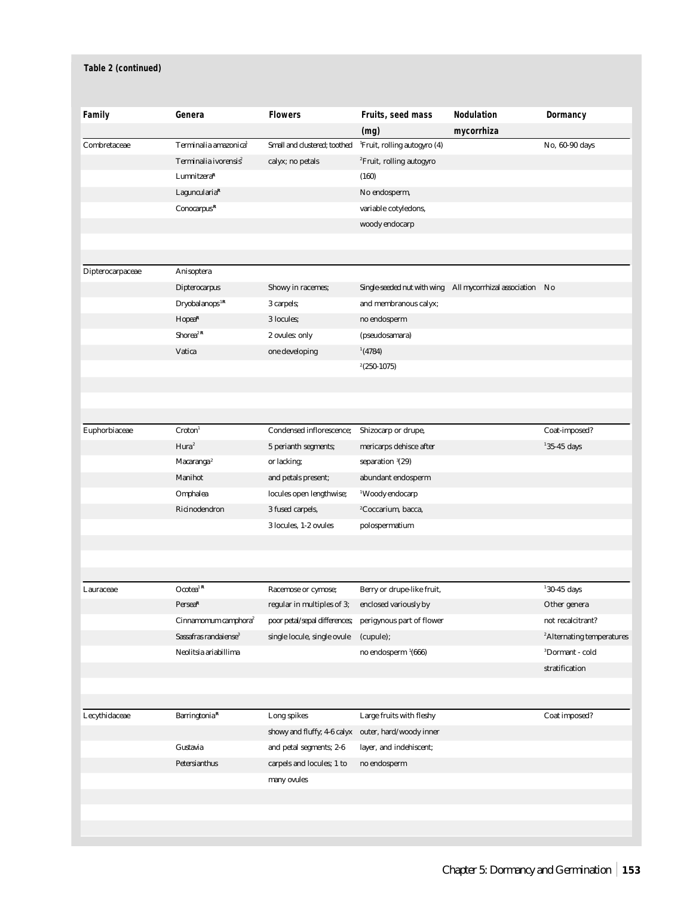| Family           | Genera                            | <b>Flowers</b>                | Fruits, seed mass                        | <b>Nodulation</b>              | Dormancy                              |
|------------------|-----------------------------------|-------------------------------|------------------------------------------|--------------------------------|---------------------------------------|
|                  |                                   |                               | (mg)                                     | mycorrhiza                     |                                       |
| Combretaceae     | Terminalia amazonica <sup>1</sup> | Small and clustered; toothed  | <sup>1</sup> Fruit, rolling autogyro (4) |                                | No, 60-90 days                        |
|                  | Terminalia ivorensis <sup>2</sup> | calyx; no petals              | <sup>2</sup> Fruit, rolling autogyro     |                                |                                       |
|                  | Lumnitzera <sup>R</sup>           |                               | (160)                                    |                                |                                       |
|                  | Laguncularia <sup>R</sup>         |                               | No endosperm,                            |                                |                                       |
|                  | Conocarpus <sup>R</sup>           |                               | variable cotyledons,                     |                                |                                       |
|                  |                                   |                               | woody endocarp                           |                                |                                       |
|                  |                                   |                               |                                          |                                |                                       |
| Dipterocarpaceae | <b>Anisoptera</b>                 |                               |                                          |                                |                                       |
|                  | <b>Dipterocarpus</b>              | Showy in racemes;             | Single-seeded nut with wing              | All mycorrhizal association No |                                       |
|                  | Dryobalanops <sup>1R</sup>        | 3 carpels;                    | and membranous calyx;                    |                                |                                       |
|                  | Hopea <sup>R</sup>                | 3 locules;                    | no endosperm                             |                                |                                       |
|                  | Shorea <sup>2</sup> R             | 2 ovules: only                | (pseudosamara)                           |                                |                                       |
|                  | Vatica                            | one developing                | (4784)                                   |                                |                                       |
|                  |                                   |                               | $2(250-1075)$                            |                                |                                       |
|                  |                                   |                               |                                          |                                |                                       |
|                  |                                   |                               |                                          |                                |                                       |
|                  |                                   |                               |                                          |                                |                                       |
| Euphorbiaceae    | Croton <sup>1</sup>               | Condensed inflorescence;      | Shizocarp or drupe,                      |                                | Coat-imposed?                         |
|                  | Hura <sup>2</sup>                 | 5 perianth segments;          | mericarps dehisce after                  |                                | $135-45$ days                         |
|                  | Macaranga <sup>2</sup>            | or lacking;                   | separation 3(29)                         |                                |                                       |
|                  | <b>Manihot</b>                    | and petals present;           | abundant endosperm                       |                                |                                       |
|                  | Omphalea                          | locules open lengthwise;      | <sup>1</sup> Woody endocarp              |                                |                                       |
|                  | Ricinodendron                     | 3 fused carpels,              | <sup>2</sup> Coccarium, bacca,           |                                |                                       |
|                  |                                   | 3 locules, 1-2 ovules         | polospermatium                           |                                |                                       |
|                  |                                   |                               |                                          |                                |                                       |
|                  |                                   |                               |                                          |                                |                                       |
|                  |                                   |                               |                                          |                                |                                       |
| Lauraceae        | $Ocotea^{\text{1 R}}$             | Racemose or cymose;           | Berry or drupe-like fruit,               |                                | $130-45$ days                         |
|                  | Persea <sup>R</sup>               | regular in multiples of 3;    | enclosed variously by                    |                                | Other genera                          |
|                  | Cinnamomum camphora <sup>2</sup>  | poor petal/sepal differences; | perigynous part of flower                |                                | not recalcitrant?                     |
|                  | Sassafras randaiense <sup>3</sup> | single locule, single ovule   | (cupule);                                |                                | <sup>2</sup> Alternating temperatures |
|                  | Neolitsia ariabillima             |                               | no endosperm <sup>1</sup> (666)          |                                | <sup>3</sup> Dormant - cold           |
|                  |                                   |                               |                                          |                                | stratification                        |
|                  |                                   |                               |                                          |                                |                                       |
|                  |                                   |                               |                                          |                                |                                       |
| Lecythidaceae    | Barringtonia <sup>R</sup>         | Long spikes                   | Large fruits with fleshy                 |                                | Coat imposed?                         |
|                  |                                   | showy and fluffy; 4-6 calyx   | outer, hard/woody inner                  |                                |                                       |
|                  | Gustavia                          | and petal segments; 2-6       | layer, and indehiscent;                  |                                |                                       |
|                  | Petersianthus                     | carpels and locules; 1 to     | no endosperm                             |                                |                                       |
|                  |                                   | many ovules                   |                                          |                                |                                       |
|                  |                                   |                               |                                          |                                |                                       |
|                  |                                   |                               |                                          |                                |                                       |
|                  |                                   |                               |                                          |                                |                                       |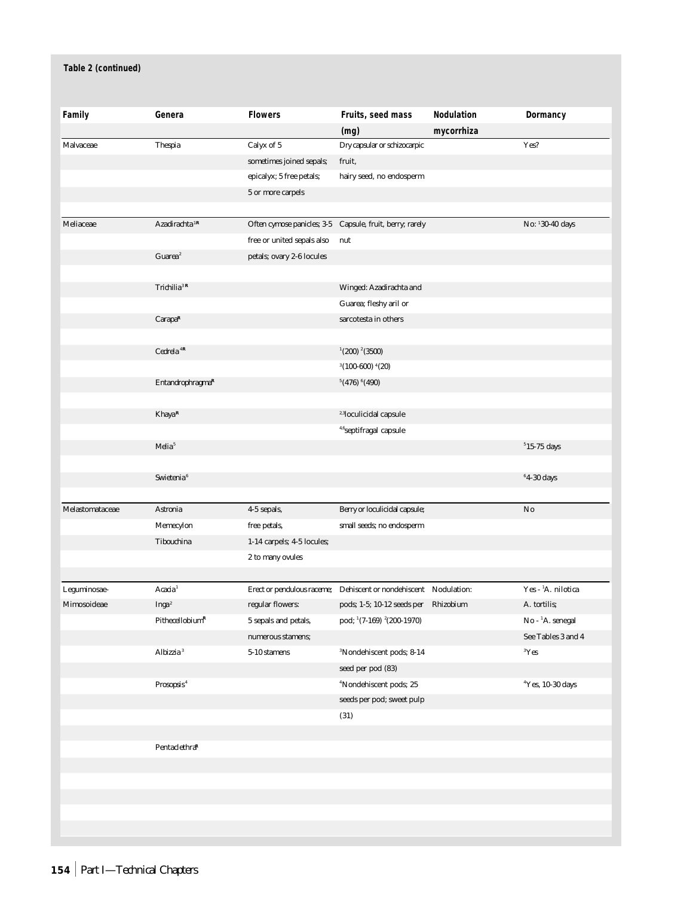| Family          | Genera                       | <b>Flowers</b>             | Fruits, seed mass                     | <b>Nodulation</b> | Dormancy                       |
|-----------------|------------------------------|----------------------------|---------------------------------------|-------------------|--------------------------------|
|                 |                              |                            | (mg)                                  | mycorrhiza        |                                |
| Malvaceae       | <b>Thespia</b>               | Calyx of 5                 | Dry capsular or schizocarpic          |                   | Yes?                           |
|                 |                              | sometimes joined sepals;   | fruit,                                |                   |                                |
|                 |                              | epicalyx; 5 free petals;   | hairy seed, no endosperm              |                   |                                |
|                 |                              | 5 or more carpels          |                                       |                   |                                |
|                 |                              |                            |                                       |                   |                                |
| Meliaceae       | Azadirachta <sup>1R</sup>    | Often cymose panicles; 3-5 | Capsule, fruit, berry; rarely         |                   | No: 130-40 days                |
|                 |                              | free or united sepals also | nut                                   |                   |                                |
|                 | Guarea <sup>2</sup>          | petals; ovary 2-6 locules  |                                       |                   |                                |
|                 |                              |                            |                                       |                   |                                |
|                 | Trichilia <sup>3R</sup>      |                            | Winged: Azadirachta and               |                   |                                |
|                 |                              |                            | Guarea; fleshy aril or                |                   |                                |
|                 | Carapa <sup>R</sup>          |                            | sarcotesta in others                  |                   |                                |
|                 |                              |                            |                                       |                   |                                |
|                 | Cedrela <sup>4R</sup>        |                            | $(200)$ $(3500)$                      |                   |                                |
|                 |                              |                            | $3(100-600)$ <sup>4</sup> (20)        |                   |                                |
|                 | Entandrophragma <sup>R</sup> |                            | $5(476)$ $(490)$                      |                   |                                |
|                 |                              |                            |                                       |                   |                                |
|                 | Khaya <sup>R</sup>           |                            | <sup>2,3</sup> loculicidal capsule    |                   |                                |
|                 |                              |                            | <sup>4,6</sup> septifragal capsule    |                   |                                |
|                 | Melia <sup>5</sup>           |                            |                                       |                   | $515-75$ days                  |
|                 |                              |                            |                                       |                   |                                |
|                 | Swietenia <sup>6</sup>       |                            |                                       |                   | $64-30$ days                   |
| Melastomataceae | Astronia                     | 4-5 sepals,                | Berry or loculicidal capsule;         |                   | No                             |
|                 | Memecylon                    | free petals,               | small seeds; no endosperm             |                   |                                |
|                 | <b>Tibouchina</b>            | 1-14 carpels; 4-5 locules; |                                       |                   |                                |
|                 |                              | 2 to many ovules           |                                       |                   |                                |
|                 |                              |                            |                                       |                   |                                |
| Leguminosae-    | Acacia <sup>1</sup>          | Erect or pendulous raceme; | Dehiscent or nondehiscent Nodulation: |                   | Yes - <sup>1</sup> A. nilotica |
| Mimosoideae     | Inga <sup>2</sup>            | regular flowers:           | pods; 1-5; 10-12 seeds per Rhizobium  |                   | A. tortilis;                   |
|                 | $PithecellobiumR$            | 5 sepals and petals,       | pod; 1(7-169) <sup>2</sup> (200-1970) |                   | No - <sup>1</sup> A. senegal   |
|                 |                              | numerous stamens;          |                                       |                   | See Tables 3 and 4             |
|                 | Albizzia <sup>3</sup>        | 5-10 stamens               | <sup>3</sup> Nondehiscent pods; 8-14  |                   | $\rm ^3Yes$                    |
|                 |                              |                            | seed per pod (83)                     |                   |                                |
|                 | Prosopsis <sup>4</sup>       |                            | <sup>4</sup> Nondehiscent pods; 25    |                   | <sup>4</sup> Yes, 10-30 days   |
|                 |                              |                            | seeds per pod; sweet pulp             |                   |                                |
|                 |                              |                            | (31)                                  |                   |                                |
|                 |                              |                            |                                       |                   |                                |
|                 | Pentaclethra <sup>R</sup>    |                            |                                       |                   |                                |
|                 |                              |                            |                                       |                   |                                |
|                 |                              |                            |                                       |                   |                                |
|                 |                              |                            |                                       |                   |                                |
|                 |                              |                            |                                       |                   |                                |
|                 |                              |                            |                                       |                   |                                |
|                 |                              |                            |                                       |                   |                                |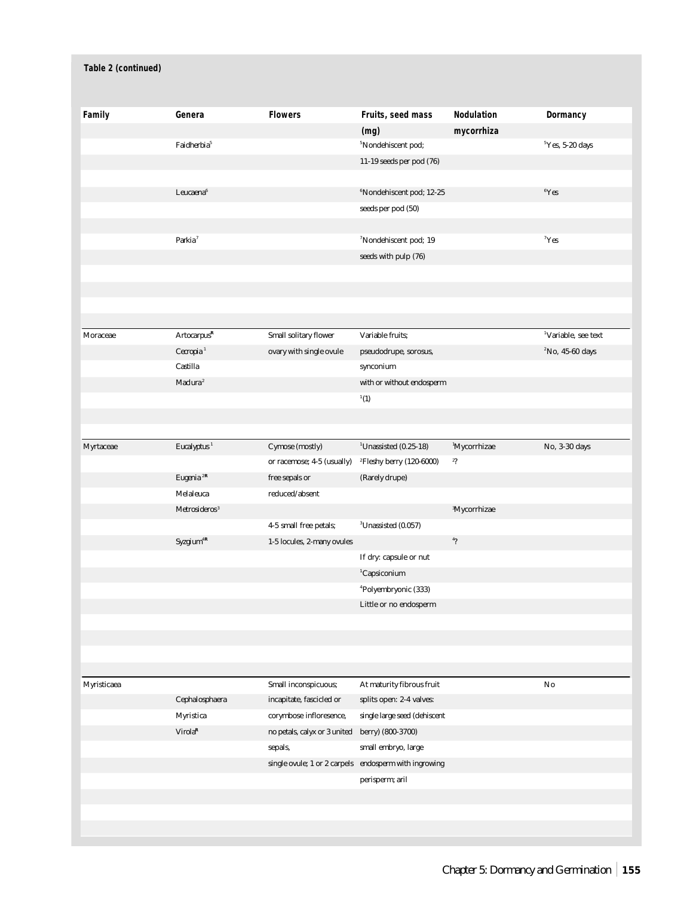| Family      | Genera                    | <b>Flowers</b>               | Fruits, seed mass                    | Nodulation               | Dormancy                        |
|-------------|---------------------------|------------------------------|--------------------------------------|--------------------------|---------------------------------|
|             |                           |                              | (mg)                                 | mycorrhiza               |                                 |
|             | Faidherbia <sup>5</sup>   |                              | <sup>5</sup> Nondehiscent pod;       |                          | $5$ Yes, 5-20 days              |
|             |                           |                              | 11-19 seeds per pod (76)             |                          |                                 |
|             |                           |                              |                                      |                          |                                 |
|             | Leucaena <sup>6</sup>     |                              | <sup>6</sup> Nondehiscent pod; 12-25 |                          | ${}^{6}Yes$                     |
|             |                           |                              | seeds per pod (50)                   |                          |                                 |
|             |                           |                              |                                      |                          |                                 |
|             | Parkia <sup>7</sup>       |                              | <sup>7</sup> Nondehiscent pod; 19    |                          | $7$ Yes                         |
|             |                           |                              | seeds with pulp (76)                 |                          |                                 |
|             |                           |                              |                                      |                          |                                 |
|             |                           |                              |                                      |                          |                                 |
|             |                           |                              |                                      |                          |                                 |
|             |                           |                              |                                      |                          |                                 |
| Moraceae    | $Arto carpus^{\mathbf R}$ | Small solitary flower        | Variable fruits:                     |                          | <sup>1</sup> Variable, see text |
|             | Cecropia <sup>1</sup>     | ovary with single ovule      | pseudodrupe, sorosus,                |                          | $2^{\circ}$ No, 45-60 days      |
|             | Castilla                  |                              | synconium                            |                          |                                 |
|             | Maclura <sup>2</sup>      |                              | with or without endosperm            |                          |                                 |
|             |                           |                              | $\boldsymbol{1}(1)$                  |                          |                                 |
|             |                           |                              |                                      |                          |                                 |
|             |                           |                              |                                      |                          |                                 |
| Myrtaceae   | Eucalyptus <sup>1</sup>   | Cymose (mostly)              | $1$ Unassisted (0.25-18)             | <sup>1</sup> Mycorrhizae | No, 3-30 days                   |
|             |                           | or racemose; 4-5 (usually)   | <sup>2</sup> Fleshy berry (120-6000) | 2?                       |                                 |
|             | Eugenia <sup>2R</sup>     | free sepals or               | (Rarely drupe)                       |                          |                                 |
|             | Melaleuca                 | reduced/absent               |                                      |                          |                                 |
|             | Metrosideros <sup>3</sup> |                              |                                      | <sup>3</sup> Mycorrhizae |                                 |
|             |                           |                              | ${}^{3}$ Unassisted (0.057)          |                          |                                 |
|             |                           | 4-5 small free petals;       |                                      | $^{4}$ ?                 |                                 |
|             | Syzgium <sup>4R</sup>     | 1-5 locules, 2-many ovules   |                                      |                          |                                 |
|             |                           |                              | If dry: capsule or nut               |                          |                                 |
|             |                           |                              | <sup>1</sup> Capsiconium             |                          |                                 |
|             |                           |                              | <sup>4</sup> Polyembryonic (333)     |                          |                                 |
|             |                           |                              | Little or no endosperm               |                          |                                 |
|             |                           |                              |                                      |                          |                                 |
|             |                           |                              |                                      |                          |                                 |
|             |                           |                              |                                      |                          |                                 |
|             |                           |                              |                                      |                          |                                 |
| Myristicaea |                           | Small inconspicuous;         | At maturity fibrous fruit            |                          | No                              |
|             | Cephalosphaera            | incapitate, fascicled or     | splits open: 2-4 valves:             |                          |                                 |
|             | Myristica                 | corymbose infloresence,      | single large seed (dehiscent         |                          |                                 |
|             | Virola <sup>R</sup>       | no petals, calyx or 3 united | berry) (800-3700)                    |                          |                                 |
|             |                           | sepals,                      | small embryo, large                  |                          |                                 |
|             |                           | single ovule; 1 or 2 carpels | endosperm with ingrowing             |                          |                                 |
|             |                           |                              | perisperm; aril                      |                          |                                 |
|             |                           |                              |                                      |                          |                                 |
|             |                           |                              |                                      |                          |                                 |
|             |                           |                              |                                      |                          |                                 |
|             |                           |                              |                                      |                          |                                 |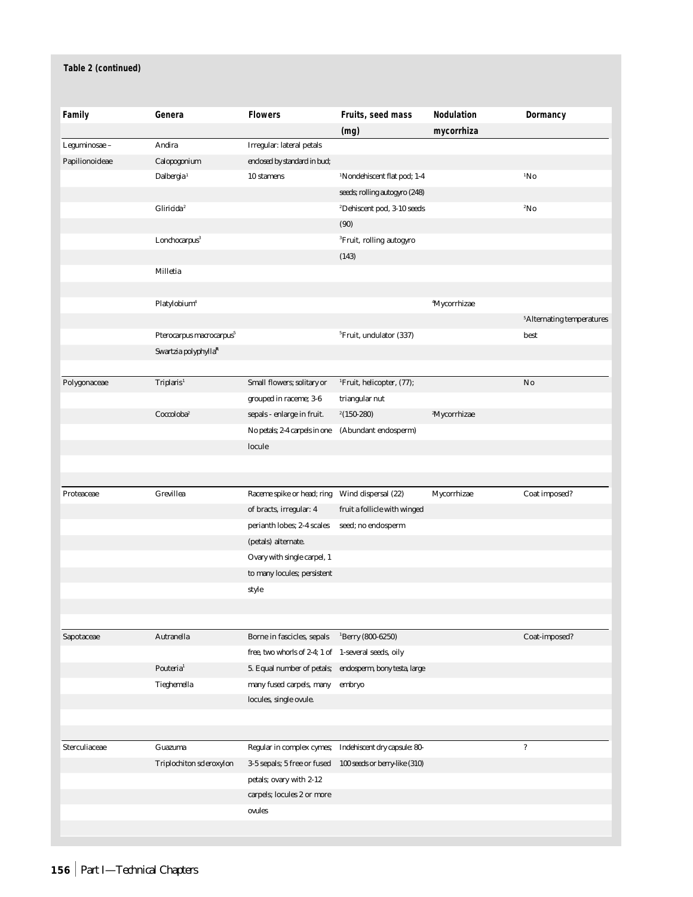| Family         | Genera                               | <b>Flowers</b>                                      | Fruits, seed mass                       | <b>Nodulation</b>        | Dormancy                              |
|----------------|--------------------------------------|-----------------------------------------------------|-----------------------------------------|--------------------------|---------------------------------------|
|                |                                      |                                                     | (mg)                                    | mycorrhiza               |                                       |
| Leguminosae -  | <b>Andira</b>                        | Irregular: lateral petals                           |                                         |                          |                                       |
| Papilionoideae | Calopogonium                         | enclosed by standard in bud;                        |                                         |                          |                                       |
|                | Dalbergia <sup>1</sup>               | 10 stamens                                          | <sup>1</sup> Nondehiscent flat pod; 1-4 |                          | $1N_0$                                |
|                |                                      |                                                     | seeds; rolling autogyro (248)           |                          |                                       |
|                | Gliricida <sup>2</sup>               |                                                     | <sup>2</sup> Dehiscent pod, 3-10 seeds  |                          | 2N <sub>0</sub>                       |
|                |                                      |                                                     | (90)                                    |                          |                                       |
|                | Lonchocarpus <sup>3</sup>            |                                                     | <sup>3</sup> Fruit, rolling autogyro    |                          |                                       |
|                |                                      |                                                     | (143)                                   |                          |                                       |
|                | <b>Milletia</b>                      |                                                     |                                         |                          |                                       |
|                |                                      |                                                     |                                         |                          |                                       |
|                | Platylobium <sup>4</sup>             |                                                     |                                         | <sup>4</sup> Mycorrhizae |                                       |
|                |                                      |                                                     |                                         |                          | <sup>5</sup> Alternating temperatures |
|                | Pterocarpus macrocarpus <sup>5</sup> |                                                     | <sup>5</sup> Fruit, undulator (337)     |                          | best                                  |
|                | Swartzia polyphylla $R$              |                                                     |                                         |                          |                                       |
|                |                                      |                                                     |                                         |                          |                                       |
| Polygonaceae   | Triplaris <sup>1</sup>               | Small flowers; solitary or                          | <sup>1</sup> Fruit, helicopter, (77);   |                          | No                                    |
|                |                                      | grouped in raceme; 3-6                              | triangular nut                          |                          |                                       |
|                | Coccoloba <sup>2</sup>               | sepals - enlarge in fruit.                          | $2(150-280)$                            | <sup>2</sup> Mycorrhizae |                                       |
|                |                                      | No petals; 2-4 carpels in one                       | (Abundant endosperm)                    |                          |                                       |
|                |                                      | locule                                              |                                         |                          |                                       |
|                |                                      |                                                     |                                         |                          |                                       |
|                |                                      |                                                     |                                         |                          |                                       |
| Proteaceae     | Grevillea                            | Raceme spike or head; ring                          | Wind dispersal (22)                     | Mycorrhizae              | Coat imposed?                         |
|                |                                      | of bracts, irregular: 4                             | fruit a follicle with winged            |                          |                                       |
|                |                                      | perianth lobes; 2-4 scales                          | seed; no endosperm                      |                          |                                       |
|                |                                      | (petals) alternate.                                 |                                         |                          |                                       |
|                |                                      | Ovary with single carpel, 1                         |                                         |                          |                                       |
|                |                                      | to many locules; persistent                         |                                         |                          |                                       |
|                |                                      | style                                               |                                         |                          |                                       |
|                |                                      |                                                     |                                         |                          |                                       |
|                |                                      |                                                     |                                         |                          |                                       |
| Sapotaceae     | Autranella                           | Borne in fascicles, sepals                          | ${}^{1}$ Berry (800-6250)               |                          | Coat-imposed?                         |
|                |                                      | free, two whorls of 2-4; 1 of 1-several seeds, oily |                                         |                          |                                       |
|                | Pouteria <sup>1</sup>                | 5. Equal number of petals;                          | endosperm, bony testa, large            |                          |                                       |
|                | Tieghemella                          | many fused carpels, many                            | embryo                                  |                          |                                       |
|                |                                      | locules, single ovule.                              |                                         |                          |                                       |
|                |                                      |                                                     |                                         |                          |                                       |
|                |                                      |                                                     |                                         |                          |                                       |
| Sterculiaceae  | Guazuma                              | Regular in complex cymes;                           | Indehiscent dry capsule: 80-            |                          | $\overline{\mathbf{?}}$               |
|                | <b>Triplochiton scleroxylon</b>      | 3-5 sepals; 5 free or fused                         | 100 seeds or berry-like (310)           |                          |                                       |
|                |                                      | petals; ovary with 2-12                             |                                         |                          |                                       |
|                |                                      | carpels; locules 2 or more                          |                                         |                          |                                       |
|                |                                      |                                                     |                                         |                          |                                       |
|                |                                      | ovules                                              |                                         |                          |                                       |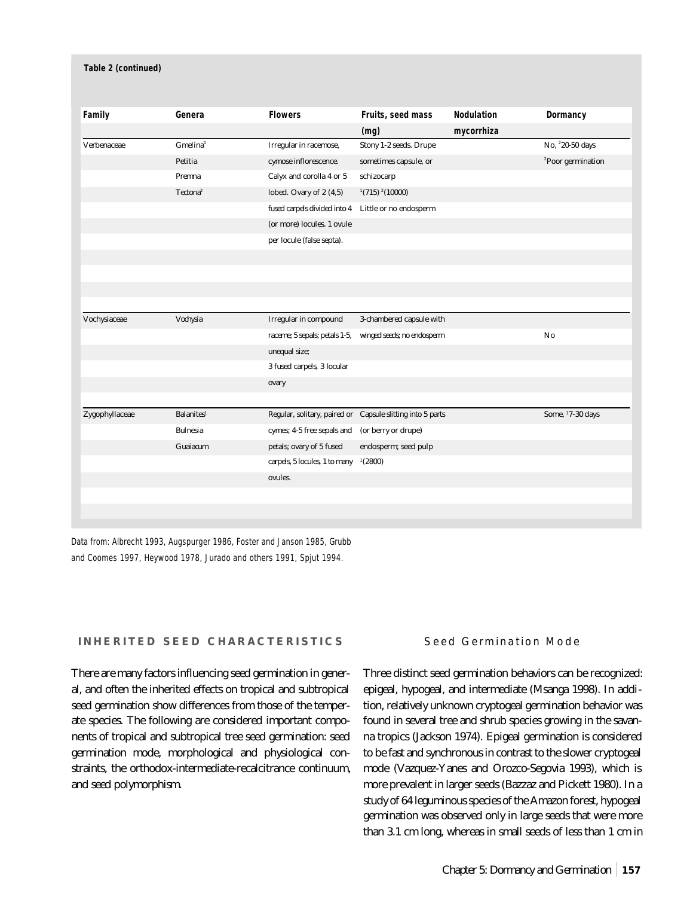| Family         | Genera                  | <b>Flowers</b>                | Fruits, seed mass                                          | <b>Nodulation</b> | Dormancy                      |
|----------------|-------------------------|-------------------------------|------------------------------------------------------------|-------------------|-------------------------------|
|                |                         |                               | (mg)                                                       | mycorrhiza        |                               |
| Verbenaceae    | $G$ melina <sup>1</sup> | Irregular in racemose,        | Stony 1-2 seeds. Drupe                                     |                   | No, <sup>2</sup> 20-50 days   |
|                | Petitia                 | cymose inflorescence.         | sometimes capsule, or                                      |                   | <sup>2</sup> Poor germination |
|                | Premna                  | Calyx and corolla 4 or 5      | schizocarp                                                 |                   |                               |
|                | Tectona <sup>2</sup>    | lobed. Ovary of 2 (4,5)       | $(715)$ $(10000)$                                          |                   |                               |
|                |                         | fused carpels divided into 4  | Little or no endosperm                                     |                   |                               |
|                |                         | (or more) locules. 1 ovule    |                                                            |                   |                               |
|                |                         | per locule (false septa).     |                                                            |                   |                               |
|                |                         |                               |                                                            |                   |                               |
|                |                         |                               |                                                            |                   |                               |
|                |                         |                               |                                                            |                   |                               |
|                |                         |                               |                                                            |                   |                               |
| Vochysiaceae   | Vochysia                | Irregular in compound         | 3-chambered capsule with                                   |                   |                               |
|                |                         | raceme; 5 sepals; petals 1-5, | winged seeds; no endosperm                                 |                   | No                            |
|                |                         | unequal size;                 |                                                            |                   |                               |
|                |                         | 3 fused carpels, 3 locular    |                                                            |                   |                               |
|                |                         | ovary                         |                                                            |                   |                               |
|                |                         |                               |                                                            |                   |                               |
| Zygophyllaceae | <b>Balanites1</b>       |                               | Regular, solitary, paired or Capsule slitting into 5 parts |                   | Some, 17-30 days              |
|                | <b>Bulnesia</b>         | cymes; 4-5 free sepals and    | (or berry or drupe)                                        |                   |                               |
|                | Guaiacum                | petals; ovary of 5 fused      | endosperm; seed pulp                                       |                   |                               |
|                |                         | carpels, 5 locules, 1 to many | (2800)                                                     |                   |                               |
|                |                         | ovules.                       |                                                            |                   |                               |
|                |                         |                               |                                                            |                   |                               |
|                |                         |                               |                                                            |                   |                               |

Data from: Albrecht 1993, Augspurger 1986, Foster and Janson 1985, Grubb and Coomes 1997, Heywood 1978, Jurado and others 1991, Spjut 1994.

## **INHERITED SEED CHARACTERISTICS**

There are many factors influencing seed germination in general, and often the inherited effects on tropical and subtropical seed germination show differences from those of the temperate species. The following are considered important components of tropical and subtropical tree seed germination: seed germination mode, morphological and physiological constraints, the orthodox-intermediate-recalcitrance continuum, and seed polymorphism.

## Seed Germination Mode

Three distinct seed germination behaviors can be recognized: epigeal, hypogeal, and intermediate (Msanga 1998). In addition, relatively unknown cryptogeal germination behavior was found in several tree and shrub species growing in the savanna tropics (Jackson 1974). Epigeal germination is considered to be fast and synchronous in contrast to the slower cryptogeal mode (Vazquez-Yanes and Orozco-Segovia 1993), which is more prevalent in larger seeds (Bazzaz and Pickett 1980). In a study of 64 leguminous species of the Amazon forest, hypogeal germination was observed only in large seeds that were more than 3.1 cm long, whereas in small seeds of less than 1 cm in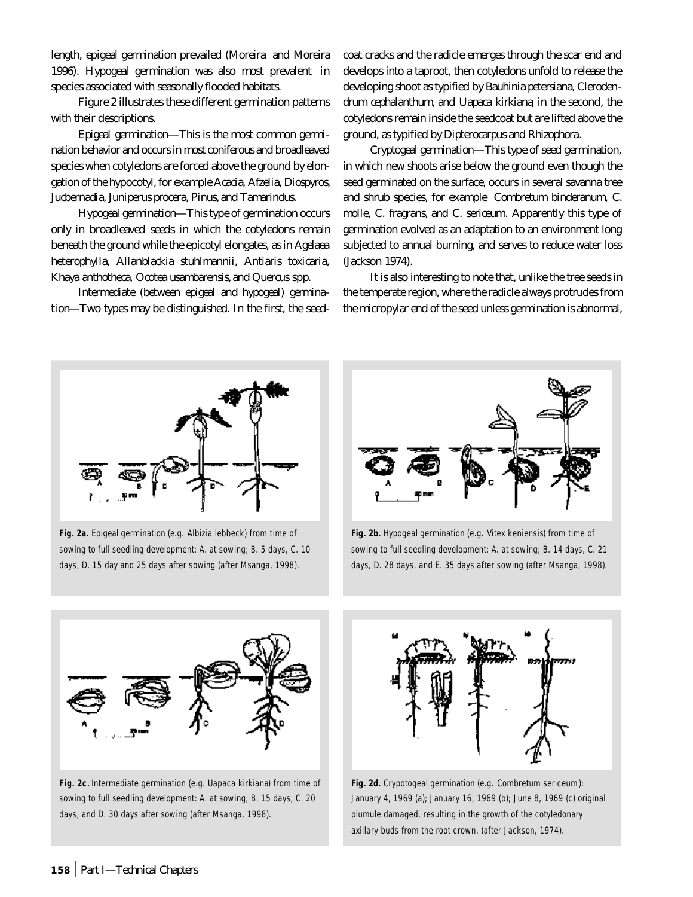length, epigeal germination prevailed (Moreira and Moreira 1996). Hypogeal germination was also most prevalent in species associated with seasonally flooded habitats.

Figure 2 illustrates these different germination patterns with their descriptions.

*Epigeal germination*—This is the most common germination behavior and occurs in most coniferous and broadleaved species when cotyledons are forced above the ground by elongation of the hypocotyl, for example *Acacia, Afzelia, Diospyros, Jucbernadia, Juniperus procera, Pinus,* and *Tamarindus.*

*Hypogeal germination*—This type of germination occurs only in broadleaved seeds in which the cotyledons remain beneath the ground while the epicotyl elongates, as in *Agelaea heterophylla, Allanblackia stuhlmannii, Antiaris toxicaria, Khaya anthotheca, Ocotea usambarensis,* and *Quercus* spp*.*

*Intermediate (between epigeal and hypogeal) germination*—Two types may be distinguished. In the first, the seedcoat cracks and the radicle emerges through the scar end and develops into a taproot, then cotyledons unfold to release the developing shoot as typified by *Bauhinia petersiana, Clerodendrum cephalanthum,* and *Uapaca kirkiana*; in the second, the cotyledons remain inside the seedcoat but are lifted above the ground, as typified by *Dipterocarpus* and *Rhizophora*.

*Cryptogeal germination*—This type of seed germination, in which new shoots arise below the ground even though the seed germinated on the surface, occurs in several savanna tree and shrub species, for example *Combretum binderanum, C. molle, C. fragrans,* and *C. sericeum*. Apparently this type of germination evolved as an adaptation to an environment long subjected to annual burning, and serves to reduce water loss (Jackson 1974).

It is also interesting to note that, unlike the tree seeds in the temperate region, where the radicle always protrudes from the micropylar end of the seed unless germination is abnormal,



**Fig. 2a.** Epigeal germination (e.g. *Albizia lebbeck*) from time of sowing to full seedling development: A. at sowing; B. 5 days, C. 10 days, D. 15 day and 25 days after sowing (after Msanga, 1998).



**Fig. 2b.** Hypogeal germination (e.g. *Vitex keniensis*) from time of sowing to full seedling development: A. at sowing; B. 14 days, C. 21 days, D. 28 days, and E. 35 days after sowing (after Msanga, 1998).



**Fig. 2c.** Intermediate germination (e.g. *Uapaca kirkiana*) from time of sowing to full seedling development: A. at sowing; B. 15 days, C. 20 days, and D. 30 days after sowing (after Msanga, 1998).



**Fig. 2d.** Crypotogeal germination (e.g. *Combretum sericeum*): January 4, 1969 (a); January 16, 1969 (b); June 8, 1969 (c) original plumule damaged, resulting in the growth of the cotyledonary axillary buds from the root crown. (after Jackson, 1974).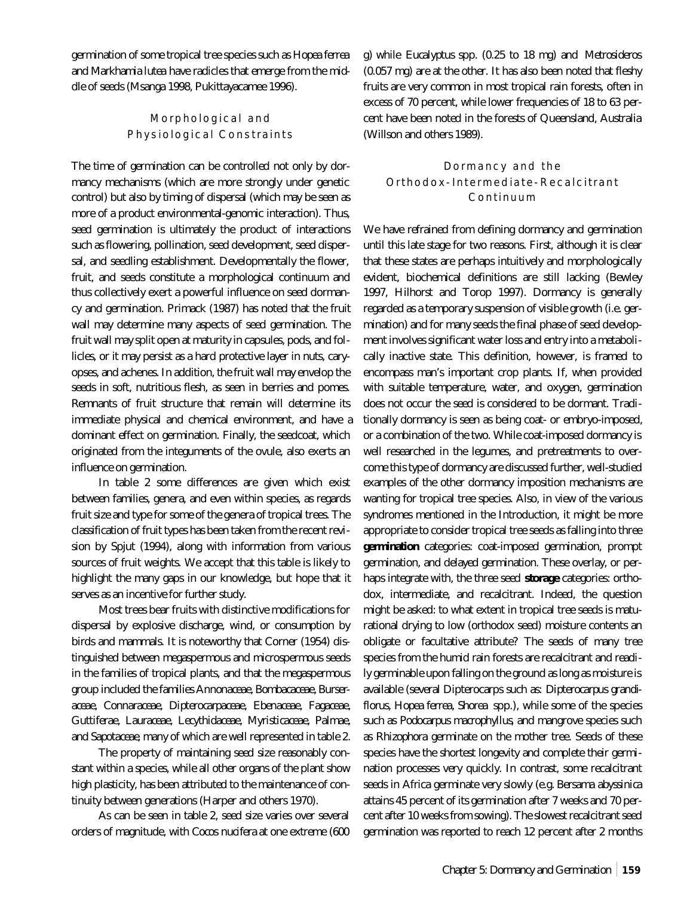germination of some tropical tree species such as *Hopea ferrea* and *Markhamia lutea* have radicles that emerge from the middle of seeds (Msanga 1998, Pukittayacamee 1996).

# Morphological and Physiological Constraints

The time of germination can be controlled not only by dormancy mechanisms (which are more strongly under genetic control) but also by timing of dispersal (which may be seen as more of a product environmental-genomic interaction). Thus, seed germination is ultimately the product of interactions such as flowering, pollination, seed development, seed dispersal, and seedling establishment. Developmentally the flower, fruit, and seeds constitute a morphological continuum and thus collectively exert a powerful influence on seed dormancy and germination. Primack (1987) has noted that the fruit wall may determine many aspects of seed germination. The fruit wall may split open at maturity in capsules, pods, and follicles, or it may persist as a hard protective layer in nuts, caryopses, and achenes. In addition, the fruit wall may envelop the seeds in soft, nutritious flesh, as seen in berries and pomes. Remnants of fruit structure that remain will determine its immediate physical and chemical environment, and have a dominant effect on germination. Finally, the seedcoat, which originated from the integuments of the ovule, also exerts an influence on germination.

In table 2 some differences are given which exist between families, genera, and even within species, as regards fruit size and type for some of the genera of tropical trees. The classification of fruit types has been taken from the recent revision by Spjut (1994), along with information from various sources of fruit weights. We accept that this table is likely to highlight the many gaps in our knowledge, but hope that it serves as an incentive for further study.

Most trees bear fruits with distinctive modifications for dispersal by explosive discharge, wind, or consumption by birds and mammals. It is noteworthy that Corner (1954) distinguished between megaspermous and microspermous seeds in the families of tropical plants, and that the megaspermous group included the families *Annonaceae, Bombacaceae, Burseraceae, Connaraceae, Dipterocarpaceae, Ebenaceae, Fagaceae, Guttiferae, Lauraceae, Lecythidaceae, Myristicaceae, Palmae,* and *Sapotaceae*, many of which are well represented in table 2.

The property of maintaining seed size reasonably constant within a species, while all other organs of the plant show high plasticity, has been attributed to the maintenance of continuity between generations (Harper and others 1970).

As can be seen in table 2, seed size varies over several orders of magnitude, with *Cocos nucifera* at one extreme (600 g) while *Eucalyptus* spp. (0.25 to 18 mg) and *Metrosideros* (0.057 mg) are at the other. It has also been noted that fleshy fruits are very common in most tropical rain forests, often in excess of 70 percent, while lower frequencies of 18 to 63 percent have been noted in the forests of Queensland, Australia (Willson and others 1989).

# Dormancy and the Orthodox-Intermediate-Recalcitrant Continuum

We have refrained from defining dormancy and germination until this late stage for two reasons. First, although it is clear that these states are perhaps intuitively and morphologically evident, biochemical definitions are still lacking (Bewley 1997, Hilhorst and Torop 1997). Dormancy is generally regarded as a temporary suspension of visible growth (i.e. germination) and for many seeds the final phase of seed development involves significant water loss and entry into a metabolically inactive state. This definition, however, is framed to encompass man's important crop plants. If, when provided with suitable temperature, water, and oxygen, germination does not occur the seed is considered to be dormant. Traditionally dormancy is seen as being coat- or embryo-imposed, or a combination of the two. While coat-imposed dormancy is well researched in the legumes, and pretreatments to overcome this type of dormancy are discussed further, well-studied examples of the other dormancy imposition mechanisms are wanting for tropical tree species. Also, in view of the various syndromes mentioned in the Introduction, it might be more appropriate to consider tropical tree seeds as falling into three **germination** categories: coat-imposed germination, prompt germination, and delayed germination. These overlay, or perhaps integrate with, the three seed **storage** categories: orthodox, intermediate, and recalcitrant. Indeed, the question might be asked: to what extent in tropical tree seeds is maturational drying to low (orthodox seed) moisture contents an obligate or facultative attribute? The seeds of many tree species from the humid rain forests are recalcitrant and readily germinable upon falling on the ground as long as moisture is available (several Dipterocarps such as: *Dipterocarpus grandiflorus, Hopea ferrea, Shorea* spp.), while some of the species such as *Podocarpus macrophyllus*, and mangrove species such as *Rhizophora* germinate on the mother tree. Seeds of these species have the shortest longevity and complete their germination processes very quickly. In contrast, some recalcitrant seeds in Africa germinate very slowly (e.g. *Bersama abyssinica* attains 45 percent of its germination after 7 weeks and 70 percent after 10 weeks from sowing). The slowest recalcitrant seed germination was reported to reach 12 percent after 2 months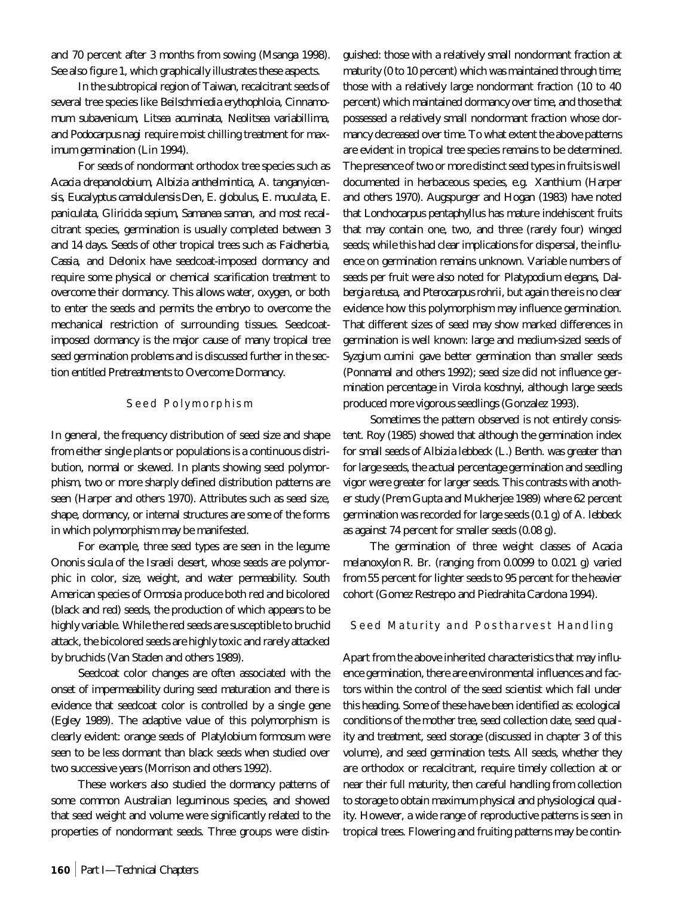and 70 percent after 3 months from sowing (Msanga 1998). See also figure 1, which graphically illustrates these aspects.

In the subtropical region of Taiwan, recalcitrant seeds of several tree species like *Beilschmiedia erythophloia, Cinnamomum subavenicum, Litsea acuminata, Neolitsea variabillima,* and *Podocarpus nagi* require moist chilling treatment for maximum germination (Lin 1994).

For seeds of nondormant orthodox tree species such as *Acacia drepanolobium, Albizia anthelmintica, A. tanganyicensis, Eucalyptus camaldulensis* Den*, E. globulus, E. muculata, E. paniculata, Gliricida sepium, Samanea saman,* and most recalcitrant species, germination is usually completed between 3 and 14 days. Seeds of other tropical trees such as *Faidherbia, Cassia,* and *Delonix* have seedcoat-imposed dormancy and require some physical or chemical scarification treatment to overcome their dormancy. This allows water, oxygen, or both to enter the seeds and permits the embryo to overcome the mechanical restriction of surrounding tissues. Seedcoatimposed dormancy is the major cause of many tropical tree seed germination problems and is discussed further in the section entitled Pretreatments to Overcome Dormancy.

## Seed Polymorphism

In general, the frequency distribution of seed size and shape from either single plants or populations is a continuous distribution, normal or skewed. In plants showing seed polymorphism, two or more sharply defined distribution patterns are seen (Harper and others 1970). Attributes such as seed size, shape, dormancy, or internal structures are some of the forms in which polymorphism may be manifested.

For example, three seed types are seen in the legume *Ononis sicula* of the Israeli desert, whose seeds are polymorphic in color, size, weight, and water permeability. South American species of *Ormosia* produce both red and bicolored (black and red) seeds, the production of which appears to be highly variable. While the red seeds are susceptible to bruchid attack, the bicolored seeds are highly toxic and rarely attacked by bruchids (Van Staden and others 1989).

Seedcoat color changes are often associated with the onset of impermeability during seed maturation and there is evidence that seedcoat color is controlled by a single gene (Egley 1989). The adaptive value of this polymorphism is clearly evident: orange seeds of *Platylobium formosum* were seen to be less dormant than black seeds when studied over two successive years (Morrison and others 1992).

These workers also studied the dormancy patterns of some common Australian leguminous species, and showed that seed weight and volume were significantly related to the properties of nondormant seeds. Three groups were distinguished: those with a relatively small nondormant fraction at maturity (0 to 10 percent) which was maintained through time; those with a relatively large nondormant fraction (10 to 40 percent) which maintained dormancy over time, and those that possessed a relatively small nondormant fraction whose dormancy decreased over time. To what extent the above patterns are evident in tropical tree species remains to be determined. The presence of two or more distinct seed types in fruits is well documented in herbaceous species, e.g. *Xanthium* (Harper and others 1970). Augspurger and Hogan (1983) have noted that *Lonchocarpus pentaphyllus* has mature indehiscent fruits that may contain one, two, and three (rarely four) winged seeds; while this had clear implications for dispersal, the influence on germination remains unknown. Variable numbers of seeds per fruit were also noted for *Platypodium elegans, Dalbergia retusa,* and *Pterocarpus rohrii*, but again there is no clear evidence how this polymorphism may influence germination. That different sizes of seed may show marked differences in germination is well known: large and medium-sized seeds of *Syzgium cumini* gave better germination than smaller seeds (Ponnamal and others 1992); seed size did not influence germination percentage in *Virola koschnyi*, although large seeds produced more vigorous seedlings (Gonzalez 1993).

Sometimes the pattern observed is not entirely consistent. Roy (1985) showed that although the germination index for small seeds of *Albizia lebbeck* (L.) Benth. was greater than for large seeds, the actual percentage germination and seedling vigor were greater for larger seeds. This contrasts with another study (Prem Gupta and Mukherjee 1989) where 62 percent germination was recorded for large seeds (0.1 g) of *A. lebbeck* as against 74 percent for smaller seeds (0.08 g).

The germination of three weight classes of *Acacia melanoxylon* R. Br. (ranging from 0.0099 to 0.021 g) varied from 55 percent for lighter seeds to 95 percent for the heavier cohort (Gomez Restrepo and Piedrahita Cardona 1994).

#### Seed Maturity and Postharvest Handling

Apart from the above inherited characteristics that may influence germination, there are environmental influences and factors within the control of the seed scientist which fall under this heading. Some of these have been identified as: ecological conditions of the mother tree, seed collection date, seed quality and treatment, seed storage (discussed in chapter 3 of this volume), and seed germination tests. All seeds, whether they are orthodox or recalcitrant, require timely collection at or near their full maturity, then careful handling from collection to storage to obtain maximum physical and physiological quality. However, a wide range of reproductive patterns is seen in tropical trees. Flowering and fruiting patterns may be contin-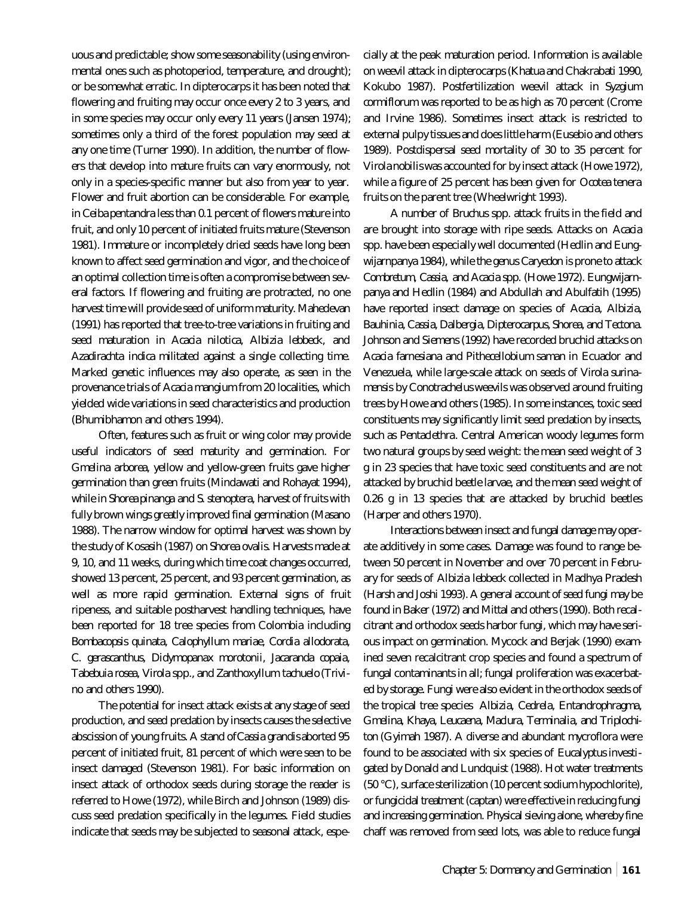uous and predictable; show some seasonability (using environmental ones such as photoperiod, temperature, and drought); or be somewhat erratic. In dipterocarps it has been noted that flowering and fruiting may occur once every 2 to 3 years, and in some species may occur only every 11 years (Jansen 1974); sometimes only a third of the forest population may seed at any one time (Turner 1990). In addition, the number of flowers that develop into mature fruits can vary enormously, not only in a species-specific manner but also from year to year. Flower and fruit abortion can be considerable. For example, in *Ceiba pentandra* less than 0.1 percent of flowers mature into fruit, and only 10 percent of initiated fruits mature (Stevenson 1981). Immature or incompletely dried seeds have long been known to affect seed germination and vigor, and the choice of an optimal collection time is often a compromise between several factors. If flowering and fruiting are protracted, no one harvest time will provide seed of uniform maturity. Mahedevan (1991) has reported that tree-to-tree variations in fruiting and seed maturation in *Acacia nilotica, Albizia lebbeck,* and *Azadirachta indica* militated against a single collecting time. Marked genetic influences may also operate, as seen in the provenance trials of *Acacia mangium* from 20 localities, which yielded wide variations in seed characteristics and production (Bhumibhamon and others 1994).

Often, features such as fruit or wing color may provide useful indicators of seed maturity and germination. For *Gmelina arborea*, yellow and yellow-green fruits gave higher germination than green fruits (Mindawati and Rohayat 1994), while in *Shorea pinanga* and *S. stenoptera,* harvest of fruits with fully brown wings greatly improved final germination (Masano 1988). The narrow window for optimal harvest was shown by the study of Kosasih (1987) on *Shorea ovalis*. Harvests made at 9, 10, and 11 weeks, during which time coat changes occurred, showed 13 percent, 25 percent, and 93 percent germination, as well as more rapid germination. External signs of fruit ripeness, and suitable postharvest handling techniques, have been reported for 18 tree species from Colombia including *Bombacopsis quinata, Calophyllum mariae, Cordia allodorata, C. gerascanthus, Didymopanax morotonii, Jacaranda copaia, Tabebuia rosea, Virola* spp., and *Zanthoxyllum tachuelo* (Trivino and others 1990).

The potential for insect attack exists at any stage of seed production, and seed predation by insects causes the selective abscission of young fruits. A stand of *Cassia grandis* aborted 95 percent of initiated fruit, 81 percent of which were seen to be insect damaged (Stevenson 1981). For basic information on insect attack of orthodox seeds during storage the reader is referred to Howe (1972), while Birch and Johnson (1989) discuss seed predation specifically in the legumes. Field studies indicate that seeds may be subjected to seasonal attack, especially at the peak maturation period. Information is available on weevil attack in dipterocarps (Khatua and Chakrabati 1990, Kokubo 1987). Postfertilization weevil attack in *Syzgium cormiflorum* was reported to be as high as 70 percent (Crome and Irvine 1986). Sometimes insect attack is restricted to external pulpy tissues and does little harm (Eusebio and others 1989). Postdispersal seed mortality of 30 to 35 percent for *Virola nobilis* was accounted for by insect attack (Howe 1972), while a figure of 25 percent has been given for *Ocotea tenera* fruits on the parent tree (Wheelwright 1993).

A number of *Bruchus* spp. attack fruits in the field and are brought into storage with ripe seeds. Attacks on *Acacia* spp. have been especially well documented (Hedlin and Eungwijarnpanya 1984), while the genus *Caryedon* is prone to attack *Combretum, Cassia,* and *Acacia* spp. (Howe 1972). Eungwijarnpanya and Hedlin (1984) and Abdullah and Abulfatih (1995) have reported insect damage on species of *Acacia, Albizia, Bauhinia, Cassia, Dalbergia, Dipterocarpus, Shorea,* and *Tectona*. Johnson and Siemens (1992) have recorded bruchid attacks on *Acacia farnesiana* and *Pithecellobium saman* in Ecuador and Venezuela, while large-scale attack on seeds of *Virola surinamensis* by C*onotrachelus* weevils was observed around fruiting trees by Howe and others (1985). In some instances, toxic seed constituents may significantly limit seed predation by insects, such as *Pentaclethra*. Central American woody legumes form two natural groups by seed weight: the mean seed weight of 3 g in 23 species that have toxic seed constituents and are not attacked by bruchid beetle larvae, and the mean seed weight of 0.26 g in 13 species that are attacked by bruchid beetles (Harper and others 1970).

Interactions between insect and fungal damage may operate additively in some cases. Damage was found to range between 50 percent in November and over 70 percent in February for seeds of *Albizia lebbeck* collected in Madhya Pradesh (Harsh and Joshi 1993). A general account of seed fungi may be found in Baker (1972) and Mittal and others (1990). Both recalcitrant and orthodox seeds harbor fungi, which may have serious impact on germination. Mycock and Berjak (1990) examined seven recalcitrant crop species and found a spectrum of fungal contaminants in all; fungal proliferation was exacerbated by storage. Fungi were also evident in the orthodox seeds of the tropical tree species *Albizia, Cedrela, Entandrophragma, Gmelina, Khaya, Leucaena, Maclura, Terminalia,* and *Triplochiton* (Gyimah 1987). A diverse and abundant mycroflora were found to be associated with six species of *Eucalyptus* investigated by Donald and Lundquist (1988). Hot water treatments (50 °C), surface sterilization (10 percent sodium hypochlorite), or fungicidal treatment (captan) were effective in reducing fungi and increasing germination. Physical sieving alone, whereby fine chaff was removed from seed lots, was able to reduce fungal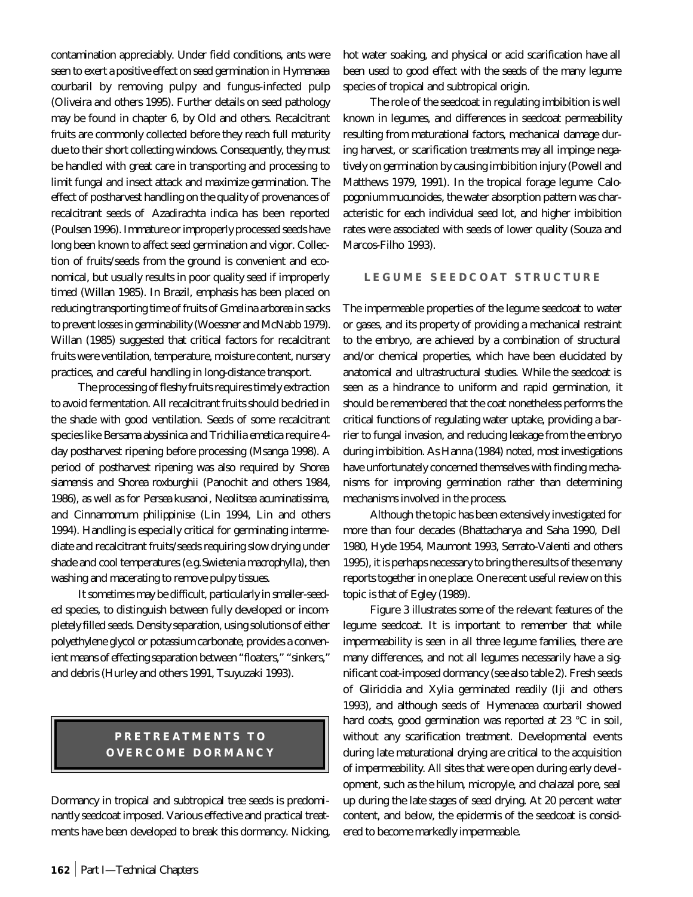contamination appreciably. Under field conditions, ants were seen to exert a positive effect on seed germination in *Hymenaea courbaril* by removing pulpy and fungus-infected pulp (Oliveira and others 1995). Further details on seed pathology may be found in chapter 6, by Old and others. Recalcitrant fruits are commonly collected before they reach full maturity due to their short collecting windows. Consequently, they must be handled with great care in transporting and processing to limit fungal and insect attack and maximize germination. The effect of postharvest handling on the quality of provenances of recalcitrant seeds of *Azadirachta indica* has been reported (Poulsen 1996). Immature or improperly processed seeds have long been known to affect seed germination and vigor. Collection of fruits/seeds from the ground is convenient and economical, but usually results in poor quality seed if improperly timed (Willan 1985). In Brazil, emphasis has been placed on reducing transporting time of fruits of *Gmelina arborea* in sacks to prevent losses in germinability (Woessner and McNabb 1979). Willan (1985) suggested that critical factors for recalcitrant fruits were ventilation, temperature, moisture content, nursery practices, and careful handling in long-distance transport.

The processing of fleshy fruits requires timely extraction to avoid fermentation. All recalcitrant fruits should be dried in the shade with good ventilation. Seeds of some recalcitrant species like *Bersama abyssinica* and *Trichilia emetica* require 4 day postharvest ripening before processing (Msanga 1998). A period of postharvest ripening was also required by *Shorea siamensis* and *Shorea roxburghii* (Panochit and others 1984, 1986), as well as for *Persea kusanoi*, *Neolitsea acuminatissima,* and *Cinnamomum philippinise* (Lin 1994, Lin and others 1994). Handling is especially critical for germinating intermediate and recalcitrant fruits/seeds requiring slow drying under shade and cool temperatures (e.g. *Swietenia macrophylla*), then washing and macerating to remove pulpy tissues.

It sometimes may be difficult, particularly in smaller-seeded species, to distinguish between fully developed or incompletely filled seeds. Density separation, using solutions of either polyethylene glycol or potassium carbonate, provides a convenient means of effecting separation between "floaters," "sinkers," and debris (Hurley and others 1991, Tsuyuzaki 1993).

# **PRETREATMENTS TO OVERCOME DORMANCY**

Dormancy in tropical and subtropical tree seeds is predominantly seedcoat imposed. Various effective and practical treatments have been developed to break this dormancy. Nicking,

hot water soaking, and physical or acid scarification have all been used to good effect with the seeds of the many legume species of tropical and subtropical origin.

The role of the seedcoat in regulating imbibition is well known in legumes, and differences in seedcoat permeability resulting from maturational factors, mechanical damage during harvest, or scarification treatments may all impinge negatively on germination by causing imbibition injury (Powell and Matthews 1979, 1991). In the tropical forage legume *Calopogonium mucunoides*, the water absorption pattern was characteristic for each individual seed lot, and higher imbibition rates were associated with seeds of lower quality (Souza and Marcos-Filho 1993).

## **LEGUME SEEDCOAT STRUCTURE**

The impermeable properties of the legume seedcoat to water or gases, and its property of providing a mechanical restraint to the embryo, are achieved by a combination of structural and/or chemical properties, which have been elucidated by anatomical and ultrastructural studies. While the seedcoat is seen as a hindrance to uniform and rapid germination, it should be remembered that the coat nonetheless performs the critical functions of regulating water uptake, providing a barrier to fungal invasion, and reducing leakage from the embryo during imbibition. As Hanna (1984) noted, most investigations have unfortunately concerned themselves with finding mechanisms for improving germination rather than determining mechanisms involved in the process.

Although the topic has been extensively investigated for more than four decades (Bhattacharya and Saha 1990, Dell 1980, Hyde 1954, Maumont 1993, Serrato-Valenti and others 1995), it is perhaps necessary to bring the results of these many reports together in one place. One recent useful review on this topic is that of Egley (1989).

Figure 3 illustrates some of the relevant features of the legume seedcoat. It is important to remember that while impermeability is seen in all three legume families, there are many differences, and not all legumes necessarily have a significant coat-imposed dormancy (see also table 2). Fresh seeds of G*liricidia* and *Xylia* germinated readily (Iji and others 1993), and although seeds of *Hymenacea courbaril* showed hard coats, good germination was reported at 23 °C in soil, without any scarification treatment. Developmental events during late maturational drying are critical to the acquisition of impermeability. All sites that were open during early development, such as the hilum, micropyle, and chalazal pore, seal up during the late stages of seed drying. At 20 percent water content, and below, the epidermis of the seedcoat is considered to become markedly impermeable.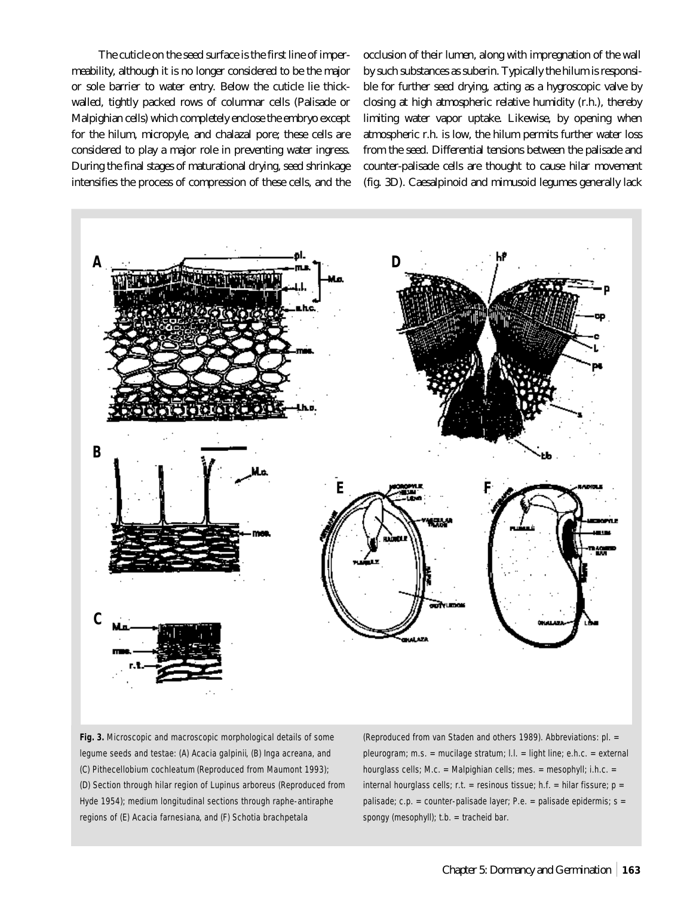The cuticle on the seed surface is the first line of impermeability, although it is no longer considered to be the major or sole barrier to water entry. Below the cuticle lie thickwalled, tightly packed rows of columnar cells (Palisade or Malpighian cells) which completely enclose the embryo except for the hilum, micropyle, and chalazal pore; these cells are considered to play a major role in preventing water ingress. During the final stages of maturational drying, seed shrinkage intensifies the process of compression of these cells, and the occlusion of their lumen, along with impregnation of the wall by such substances as suberin. Typically the hilum is responsible for further seed drying, acting as a hygroscopic valve by closing at high atmospheric relative humidity (r.h.), thereby limiting water vapor uptake. Likewise, by opening when atmospheric r.h. is low, the hilum permits further water loss from the seed. Differential tensions between the palisade and counter-palisade cells are thought to cause hilar movement (fig. 3D). Caesalpinoid and mimusoid legumes generally lack



**Fig. 3.** Microscopic and macroscopic morphological details of some legume seeds and testae: (A) *Acacia galpinii*, (B) *Inga acreana*, and (C) *Pithecellobium cochleatum* (Reproduced from Maumont 1993); (D) Section through hilar region of *Lupinus arboreus* (Reproduced from Hyde 1954); medium longitudinal sections through raphe-antiraphe regions of (E) *Acacia farnesiana*, and (F) *Schotia brachpetala*

(Reproduced from van Staden and others 1989). Abbreviations: pl. = pleurogram; m.s. = mucilage stratum; l.l. = light line; e.h.c. = external hourglass cells; M.c. = Malpighian cells; mes. = mesophyll; i.h.c. = internal hourglass cells; r.t. = resinous tissue; h.f. = hilar fissure;  $p =$ palisade;  $c.p. = counter-palisade layer; P.e. = palisade epidermis; s =$ spongy (mesophyll); t.b. = tracheid bar.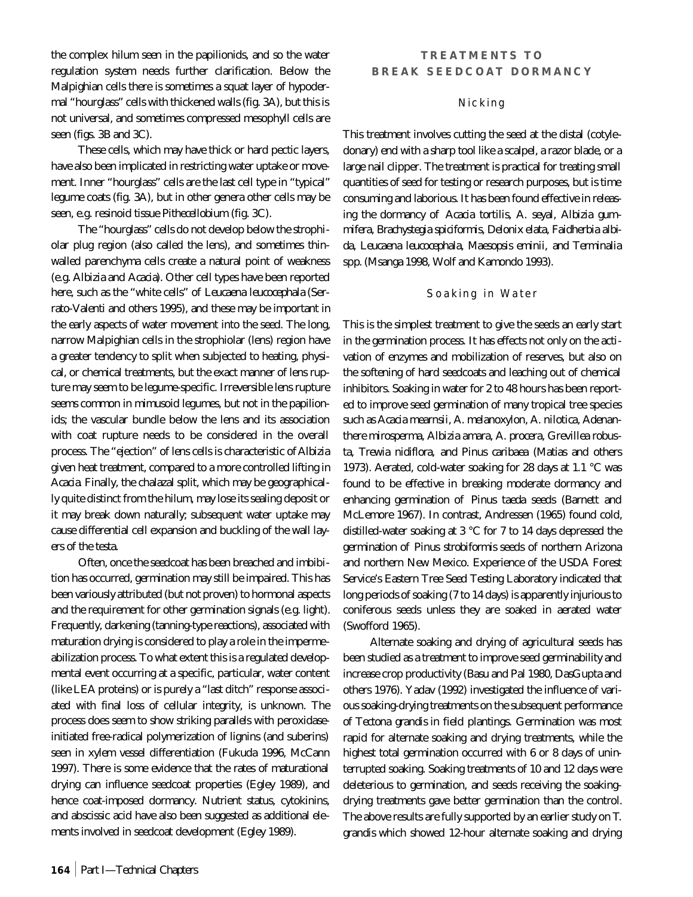the complex hilum seen in the papilionids, and so the water regulation system needs further clarification. Below the Malpighian cells there is sometimes a squat layer of hypodermal "hourglass" cells with thickened walls (fig. 3A), but this is not universal, and sometimes compressed mesophyll cells are seen (figs. 3B and 3C).

These cells, which may have thick or hard pectic layers, have also been implicated in restricting water uptake or movement. Inner "hourglass" cells are the last cell type in "typical" legume coats (fig. 3A), but in other genera other cells may be seen, e.g. resinoid tissue *Pithecellobium* (fig. 3C).

The "hourglass" cells do not develop below the strophiolar plug region (also called the lens), and sometimes thinwalled parenchyma cells create a natural point of weakness (e.g. *Albizia* and *Acacia*). Other cell types have been reported here, such as the "white cells" of *Leucaena leucocephala* (Serrato-Valenti and others 1995), and these may be important in the early aspects of water movement into the seed. The long, narrow Malpighian cells in the strophiolar (lens) region have a greater tendency to split when subjected to heating, physical, or chemical treatments, but the exact manner of lens rupture may seem to be legume-specific. Irreversible lens rupture seems common in mimusoid legumes, but not in the papilionids; the vascular bundle below the lens and its association with coat rupture needs to be considered in the overall process. The "ejection" of lens cells is characteristic of *Albizia* given heat treatment, compared to a more controlled lifting in *Acacia*. Finally, the chalazal split, which may be geographically quite distinct from the hilum, may lose its sealing deposit or it may break down naturally; subsequent water uptake may cause differential cell expansion and buckling of the wall layers of the testa.

Often, once the seedcoat has been breached and imbibition has occurred, germination may still be impaired. This has been variously attributed (but not proven) to hormonal aspects and the requirement for other germination signals (e.g. light). Frequently, darkening (tanning-type reactions), associated with maturation drying is considered to play a role in the impermeabilization process. To what extent this is a regulated developmental event occurring at a specific, particular, water content (like LEA proteins) or is purely a "last ditch" response associated with final loss of cellular integrity, is unknown. The process does seem to show striking parallels with peroxidaseinitiated free-radical polymerization of lignins (and suberins) seen in xylem vessel differentiation (Fukuda 1996, McCann 1997). There is some evidence that the rates of maturational drying can influence seedcoat properties (Egley 1989), and hence coat-imposed dormancy. Nutrient status, cytokinins, and abscissic acid have also been suggested as additional elements involved in seedcoat development (Egley 1989).

## **TREATMENTS TO BREAK SEEDCOAT DORMANCY**

## Nicking

This treatment involves cutting the seed at the distal (cotyledonary) end with a sharp tool like a scalpel, a razor blade, or a large nail clipper. The treatment is practical for treating small quantities of seed for testing or research purposes, but is time consuming and laborious. It has been found effective in releasing the dormancy of *Acacia tortilis, A. seyal, Albizia gummifera, Brachystegia spiciformis, Delonix elata, Faidherbia albida, Leucaena leucocephala, Maesopsis eminii,* and *Terminalia* spp*.* (Msanga 1998, Wolf and Kamondo 1993).

## Soaking in Water

This is the simplest treatment to give the seeds an early start in the germination process. It has effects not only on the activation of enzymes and mobilization of reserves, but also on the softening of hard seedcoats and leaching out of chemical inhibitors. Soaking in water for 2 to 48 hours has been reported to improve seed germination of many tropical tree species such as *Acacia mearnsii, A. melanoxylon, A. nilotica, Adenanthere mirosperma, Albizia amara, A. procera, Grevillea robusta, Trewia nidiflora,* and *Pinus caribaea* (Matias and others 1973). Aerated, cold-water soaking for 28 days at 1.1 °C was found to be effective in breaking moderate dormancy and enhancing germination of *Pinus taeda* seeds (Barnett and McLemore 1967). In contrast, Andressen (1965) found cold, distilled-water soaking at 3 °C for 7 to 14 days depressed the germination of *Pinus strobiformis* seeds of northern Arizona and northern New Mexico. Experience of the USDA Forest Service's Eastern Tree Seed Testing Laboratory indicated that long periods of soaking (7 to 14 days) is apparently injurious to coniferous seeds unless they are soaked in aerated water (Swofford 1965).

Alternate soaking and drying of agricultural seeds has been studied as a treatment to improve seed germinability and increase crop productivity (Basu and Pal 1980, DasGupta and others 1976). Yadav (1992) investigated the influence of various soaking-drying treatments on the subsequent performance of *Tectona grandis* in field plantings. Germination was most rapid for alternate soaking and drying treatments, while the highest total germination occurred with 6 or 8 days of uninterrupted soaking. Soaking treatments of 10 and 12 days were deleterious to germination, and seeds receiving the soakingdrying treatments gave better germination than the control. The above results are fully supported by an earlier study on *T. grandis* which showed 12-hour alternate soaking and drying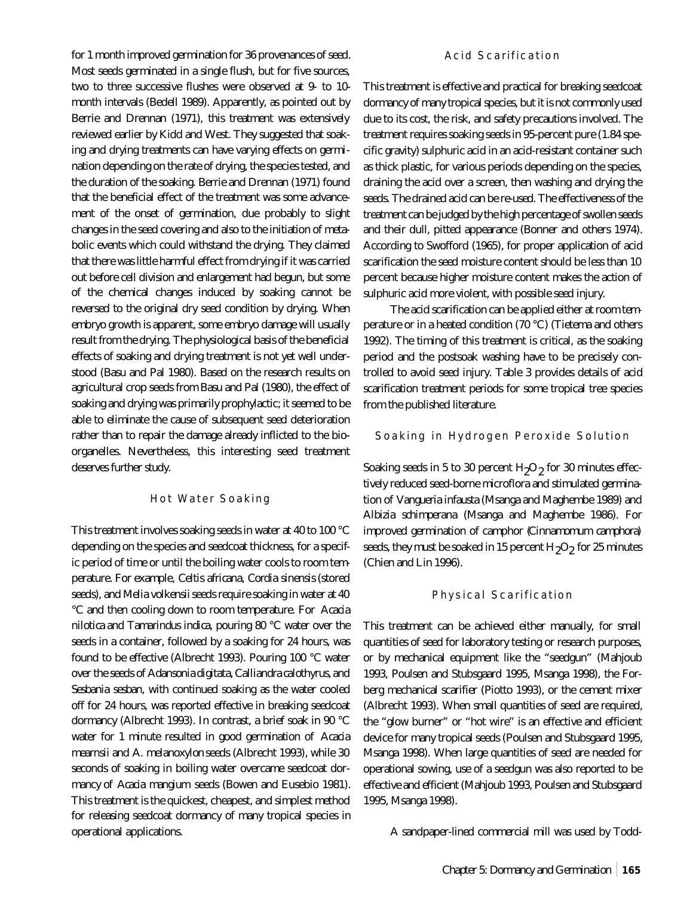for 1 month improved germination for 36 provenances of seed. Most seeds germinated in a single flush, but for five sources, two to three successive flushes were observed at 9- to 10 month intervals (Bedell 1989). Apparently, as pointed out by Berrie and Drennan (1971), this treatment was extensively reviewed earlier by Kidd and West. They suggested that soaking and drying treatments can have varying effects on germination depending on the rate of drying, the species tested, and the duration of the soaking. Berrie and Drennan (1971) found that the beneficial effect of the treatment was some advancement of the onset of germination, due probably to slight changes in the seed covering and also to the initiation of metabolic events which could withstand the drying. They claimed that there was little harmful effect from drying if it was carried out before cell division and enlargement had begun, but some of the chemical changes induced by soaking cannot be reversed to the original dry seed condition by drying. When embryo growth is apparent, some embryo damage will usually result from the drying. The physiological basis of the beneficial effects of soaking and drying treatment is not yet well understood (Basu and Pal 1980). Based on the research results on agricultural crop seeds from Basu and Pal (1980), the effect of soaking and drying was primarily prophylactic; it seemed to be able to eliminate the cause of subsequent seed deterioration rather than to repair the damage already inflicted to the bioorganelles. Nevertheless, this interesting seed treatment deserves further study.

## Hot Water Soaking

This treatment involves soaking seeds in water at 40 to 100 °C depending on the species and seedcoat thickness, for a specific period of time or until the boiling water cools to room temperature. For example, *Celtis africana, Cordia sinensis* (stored seeds), and *Melia volkensii*seeds require soaking in water at 40 °C and then cooling down to room temperature. For *Acacia nilotica* and *Tamarindus indica*, pouring 80 °C water over the seeds in a container, followed by a soaking for 24 hours, was found to be effective (Albrecht 1993). Pouring 100 °C water over the seeds of *Adansonia digitata, Calliandra calothyrus,* and *Sesbania sesban*, with continued soaking as the water cooled off for 24 hours, was reported effective in breaking seedcoat dormancy (Albrecht 1993). In contrast, a brief soak in 90 °C water for 1 minute resulted in good germination of *Acacia mearnsii* and *A. melanoxylon* seeds (Albrecht 1993), while 30 seconds of soaking in boiling water overcame seedcoat dormancy of *Acacia mangium* seeds (Bowen and Eusebio 1981). This treatment is the quickest, cheapest, and simplest method for releasing seedcoat dormancy of many tropical species in operational applications.

## Acid Scarification

This treatment is effective and practical for breaking seedcoat dormancy of many tropical species, but it is not commonly used due to its cost, the risk, and safety precautions involved. The treatment requires soaking seeds in 95-percent pure (1.84 specific gravity) sulphuric acid in an acid-resistant container such as thick plastic, for various periods depending on the species, draining the acid over a screen, then washing and drying the seeds. The drained acid can be re-used. The effectiveness of the treatment can be judged by the high percentage of swollen seeds and their dull, pitted appearance (Bonner and others 1974). According to Swofford (1965), for proper application of acid scarification the seed moisture content should be less than 10 percent because higher moisture content makes the action of sulphuric acid more violent, with possible seed injury.

The acid scarification can be applied either at room temperature or in a heated condition (70 °C) (Tietema and others 1992). The timing of this treatment is critical, as the soaking period and the postsoak washing have to be precisely controlled to avoid seed injury. Table 3 provides details of acid scarification treatment periods for some tropical tree species from the published literature.

## Soaking in Hydrogen Peroxide Solution

Soaking seeds in 5 to 30 percent  $\rm H_2O_2$  for 30 minutes effectively reduced seed-borne microflora and stimulated germination of *Vangueria infausta* (Msanga and Maghembe 1989) and *Albizia schimperana* (Msanga and Maghembe 1986). For improved germination of camphor (*Cinnamomum camphora*) seeds, they must be soaked in 15 percent  $\rm H_2O_2$  for 25 minutes (Chien and Lin 1996).

#### Physical Scarification

This treatment can be achieved either manually, for small quantities of seed for laboratory testing or research purposes, or by mechanical equipment like the "seedgun" (Mahjoub 1993, Poulsen and Stubsgaard 1995, Msanga 1998), the Forberg mechanical scarifier (Piotto 1993), or the cement mixer (Albrecht 1993). When small quantities of seed are required, the "glow burner" or "hot wire" is an effective and efficient device for many tropical seeds (Poulsen and Stubsgaard 1995, Msanga 1998). When large quantities of seed are needed for operational sowing, use of a seedgun was also reported to be effective and efficient (Mahjoub 1993, Poulsen and Stubsgaard 1995, Msanga 1998).

A sandpaper-lined commercial mill was used by Todd-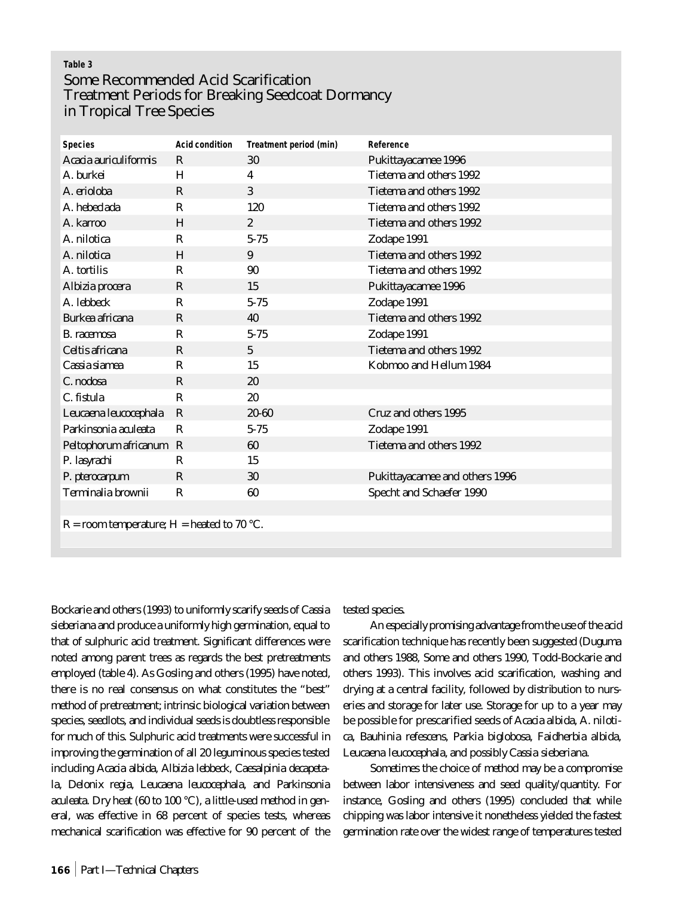# **Table 3** Some Recommended Acid Scarification Treatment Periods for Breaking Seedcoat Dormancy in Tropical Tree Species

| <b>Species</b>                             | <b>Acid condition</b> | Treatment period (min) | Reference                      |
|--------------------------------------------|-----------------------|------------------------|--------------------------------|
| Acacia auriculiformis                      | $\mathbf R$           | 30                     | Pukittayacamee 1996            |
| A. burkei                                  | H                     | 4                      | Tietema and others 1992        |
| A. erioloba                                | $\bf R$               | 3                      | Tietema and others 1992        |
| A. hebeclada                               | R                     | 120                    | Tietema and others 1992        |
| A. karroo                                  | H                     | $\overline{2}$         | Tietema and others 1992        |
| A. nilotica                                | $\mathbf R$           | $5 - 75$               | Zodape 1991                    |
| A. nilotica                                | H                     | 9                      | Tietema and others 1992        |
| A. tortilis                                | R                     | 90                     | Tietema and others 1992        |
| Albizia procera                            | $\mathbf R$           | 15                     | Pukittayacamee 1996            |
| A. lebbeck                                 | $\mathbf R$           | $5 - 75$               | Zodape 1991                    |
| <b>Burkea africana</b>                     | $\bf R$               | 40                     | Tietema and others 1992        |
| <b>B.</b> racemosa                         | $\bf R$               | $5 - 75$               | Zodape 1991                    |
| Celtis africana                            | $\mathbf R$           | $5\phantom{.0}$        | Tietema and others 1992        |
| Cassia siamea                              | R                     | 15                     | Kobmoo and Hellum 1984         |
| C. nodosa                                  | $\mathbf R$           | 20                     |                                |
| C. fistula                                 | R                     | 20                     |                                |
| Leucaena leucocephala                      | $\mathbf R$           | $20 - 60$              | Cruz and others 1995           |
| Parkinsonia aculeata                       | R                     | $5 - 75$               | Zodape 1991                    |
| Peltophorum africanum R                    |                       | 60                     | Tietema and others 1992        |
| P. lasyrachi                               | $\bf R$               | 15                     |                                |
| P. pterocarpum                             | R                     | 30                     | Pukittayacamee and others 1996 |
| Terminalia brownii                         | ${\bf R}$             | 60                     | Specht and Schaefer 1990       |
|                                            |                       |                        |                                |
| R = room temperature; H = heated to 70 °C. |                       |                        |                                |
|                                            |                       |                        |                                |

Bockarie and others (1993) to uniformly scarify seeds of *Cassia sieberiana* and produce a uniformly high germination, equal to that of sulphuric acid treatment. Significant differences were noted among parent trees as regards the best pretreatments employed (table 4). As Gosling and others (1995) have noted, there is no real consensus on what constitutes the "best" method of pretreatment; intrinsic biological variation between species, seedlots, and individual seeds is doubtless responsible for much of this. Sulphuric acid treatments were successful in improving the germination of all 20 leguminous species tested including *Acacia albida, Albizia lebbeck, Caesalpinia decapetala, Delonix regia, Leucaena leucocephala,* and *Parkinsonia aculeata*. Dry heat (60 to 100 °C), a little-used method in general, was effective in 68 percent of species tests, whereas mechanical scarification was effective for 90 percent of the

tested species.

An especially promising advantage from the use of the acid scarification technique has recently been suggested (Duguma and others 1988, Some and others 1990, Todd-Bockarie and others 1993). This involves acid scarification, washing and drying at a central facility, followed by distribution to nurseries and storage for later use. Storage for up to a year may be possible for prescarified seeds of *Acacia albida, A. nilotica, Bauhinia refescens, Parkia biglobosa, Faidherbia albida, Leucaena leucocephala,* and possibly *Cassia sieberiana*.

Sometimes the choice of method may be a compromise between labor intensiveness and seed quality/quantity. For instance, Gosling and others (1995) concluded that while chipping was labor intensive it nonetheless yielded the fastest germination rate over the widest range of temperatures tested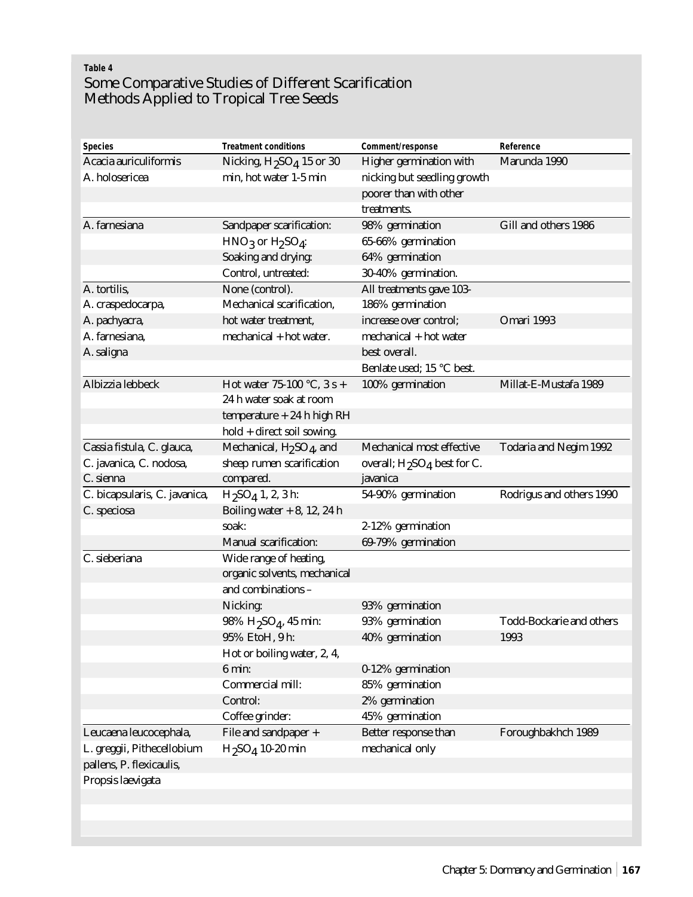# **Table 4** Some Comparative Studies of Different Scarification Methods Applied to Tropical Tree Seeds

| <b>Species</b>                | <b>Treatment conditions</b>                      | Comment/response                                    | Reference                       |
|-------------------------------|--------------------------------------------------|-----------------------------------------------------|---------------------------------|
| Acacia auriculiformis         | Nicking, $H_2SO_4$ 15 or 30                      | Higher germination with                             | Marunda 1990                    |
| A. holosericea                | min, hot water 1-5 min                           | nicking but seedling growth                         |                                 |
|                               |                                                  | poorer than with other                              |                                 |
|                               |                                                  | treatments.                                         |                                 |
| A. farnesiana                 | <b>Sandpaper scarification:</b>                  | 98% germination                                     | Gill and others 1986            |
|                               | $HNO3$ or $H2SO4$ :                              | 65-66% germination                                  |                                 |
|                               | Soaking and drying:                              | 64% germination                                     |                                 |
|                               | Control, untreated:                              | 30-40% germination.                                 |                                 |
| A. tortilis,                  | None (control).                                  | All treatments gave 103-                            |                                 |
| A. craspedocarpa,             | Mechanical scarification,                        | 186% germination                                    |                                 |
| A. pachyacra,                 | hot water treatment,                             | increase over control;                              | Omari 1993                      |
| A. farnesiana,                | mechanical + hot water.                          | mechanical + hot water                              |                                 |
| A. saligna                    |                                                  | best overall.                                       |                                 |
|                               |                                                  | Benlate used; 15 °C best.                           |                                 |
| Albizzia lebbeck              | Hot water 75-100 °C, 3 s +                       | 100% germination                                    | Millat-E-Mustafa 1989           |
|                               | 24 h water soak at room                          |                                                     |                                 |
|                               | temperature $+24$ h high RH                      |                                                     |                                 |
|                               | hold + direct soil sowing.                       |                                                     |                                 |
| Cassia fistula, C. glauca,    | Mechanical, H <sub>2</sub> SO <sub>4</sub> , and | Mechanical most effective                           | <b>Todaria and Negim 1992</b>   |
| C. javanica, C. nodosa,       | sheep rumen scarification                        | overall; H <sub>2</sub> SO <sub>4</sub> best for C. |                                 |
| C. sienna                     | compared.                                        | javanica                                            |                                 |
|                               |                                                  |                                                     |                                 |
| C. bicapsularis, C. javanica, | H <sub>2</sub> SO <sub>4</sub> 1, 2, 3 h:        | 54-90% germination                                  | Rodrigus and others 1990        |
| C. speciosa                   | Boiling water $+8$ , 12, 24 h                    |                                                     |                                 |
|                               | soak:                                            | 2-12% germination                                   |                                 |
|                               | <b>Manual scarification:</b>                     | 69-79% germination                                  |                                 |
| C. sieberiana                 | Wide range of heating,                           |                                                     |                                 |
|                               | organic solvents, mechanical                     |                                                     |                                 |
|                               | and combinations -                               |                                                     |                                 |
|                               | Nicking:                                         | 93% germination                                     |                                 |
|                               | $98\%$ H <sub>2</sub> SO <sub>4</sub> , 45 min:  | 93% germination                                     | <b>Todd-Bockarie and others</b> |
|                               | 95% EtoH, 9 h:                                   | 40% germination                                     | 1993                            |
|                               | Hot or boiling water, 2, 4,                      |                                                     |                                 |
|                               | $6 \text{ min}:$                                 | 0-12% germination                                   |                                 |
|                               | Commercial mill:                                 | 85% germination                                     |                                 |
|                               | Control:                                         | 2% germination                                      |                                 |
|                               | Coffee grinder:                                  | 45% germination                                     |                                 |
| Leucaena leucocephala,        | File and sandpaper +                             | Better response than                                | Foroughbakhch 1989              |
| L. greggii, Pithecellobium    | $H_2SO_4$ 10-20 min                              | mechanical only                                     |                                 |
| pallens, P. flexicaulis,      |                                                  |                                                     |                                 |
| Propsis laevigata             |                                                  |                                                     |                                 |
|                               |                                                  |                                                     |                                 |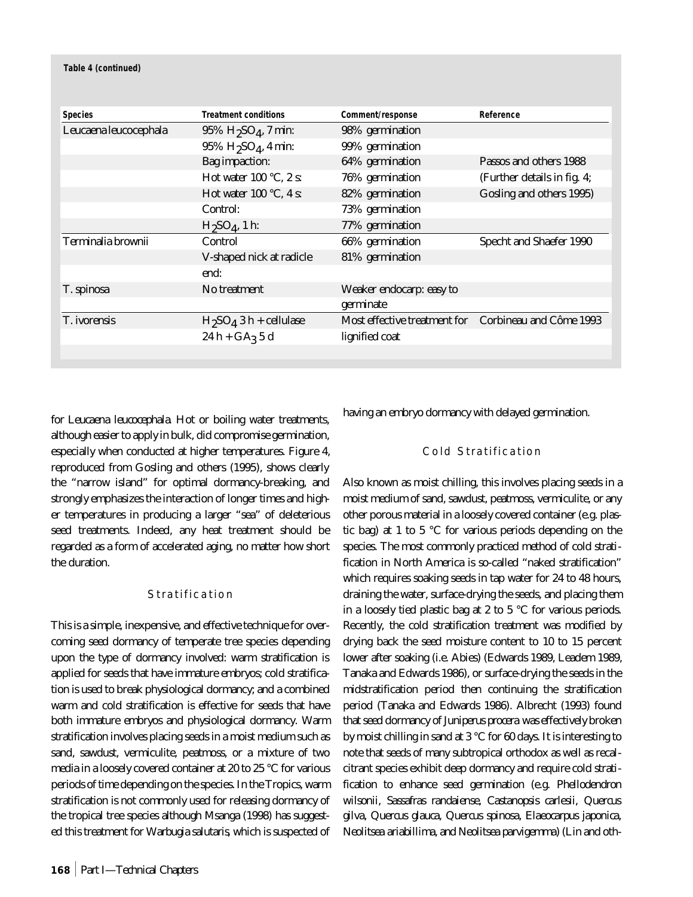|                       | <b>Treatment conditions</b>                    |                                                      | Reference                      |
|-----------------------|------------------------------------------------|------------------------------------------------------|--------------------------------|
| <b>Species</b>        |                                                | Comment/response                                     |                                |
| Leucaena leucocephala | $95\% H_2SO_4$ , 7 min:                        | 98% germination                                      |                                |
|                       | $95\%$ H <sub>2</sub> SO <sub>4</sub> , 4 min: | 99% germination                                      |                                |
|                       | <b>Bag</b> impaction:                          | 64% germination                                      | Passos and others 1988         |
|                       | Hot water 100 $^{\circ}$ C, 2 s:               | 76% germination                                      | (Further details in fig. 4;    |
|                       | Hot water 100 $\degree$ C, 4 s:                | 82% germination                                      | Gosling and others 1995)       |
|                       | Control:                                       | 73% germination                                      |                                |
|                       | $H_2SO_4$ , 1 h:                               | 77% germination                                      |                                |
| Terminalia brownii    | Control                                        | 66% germination                                      | <b>Specht and Shaefer 1990</b> |
|                       | V-shaped nick at radicle                       | 81% germination                                      |                                |
|                       | end:                                           |                                                      |                                |
| T. spinosa            | No treatment                                   | Weaker endocarp: easy to                             |                                |
|                       |                                                | germinate                                            |                                |
| T. ivorensis          | $H_2SO_4$ 3 h + cellulase                      | Most effective treatment for Corbineau and Côme 1993 |                                |
|                       | $24h + GA3 5d$                                 | lignified coat                                       |                                |
|                       |                                                |                                                      |                                |

for *Leucaena leucocephala*. Hot or boiling water treatments, although easier to apply in bulk, did compromise germination, especially when conducted at higher temperatures. Figure 4, reproduced from Gosling and others (1995), shows clearly the "narrow island" for optimal dormancy-breaking, and strongly emphasizes the interaction of longer times and higher temperatures in producing a larger "sea" of deleterious seed treatments. Indeed, any heat treatment should be regarded as a form of accelerated aging, no matter how short the duration.

## Stratification

This is a simple, inexpensive, and effective technique for overcoming seed dormancy of temperate tree species depending upon the type of dormancy involved: warm stratification is applied for seeds that have immature embryos; cold stratification is used to break physiological dormancy; and a combined warm and cold stratification is effective for seeds that have both immature embryos and physiological dormancy. Warm stratification involves placing seeds in a moist medium such as sand, sawdust, vermiculite, peatmoss, or a mixture of two media in a loosely covered container at 20 to 25 °C for various periods of time depending on the species. In the Tropics, warm stratification is not commonly used for releasing dormancy of the tropical tree species although Msanga (1998) has suggested this treatment for *Warbugia salutaris*, which is suspected of having an embryo dormancy with delayed germination.

## Cold Stratification

Also known as moist chilling, this involves placing seeds in a moist medium of sand, sawdust, peatmoss, vermiculite, or any other porous material in a loosely covered container (e.g. plastic bag) at 1 to 5 °C for various periods depending on the species. The most commonly practiced method of cold stratification in North America is so-called "naked stratification" which requires soaking seeds in tap water for 24 to 48 hours, draining the water, surface-drying the seeds, and placing them in a loosely tied plastic bag at 2 to 5 °C for various periods. Recently, the cold stratification treatment was modified by drying back the seed moisture content to 10 to 15 percent lower after soaking (i.e. *Abies*) (Edwards 1989, Leadem 1989, Tanaka and Edwards 1986), or surface-drying the seeds in the midstratification period then continuing the stratification period (Tanaka and Edwards 1986). Albrecht (1993) found that seed dormancy of *Juniperus procera* was effectively broken by moist chilling in sand at 3 °C for 60 days. It is interesting to note that seeds of many subtropical orthodox as well as recalcitrant species exhibit deep dormancy and require cold stratification to enhance seed germination (e.g. *Phellodendron wilsonii, Sassafras randaiense, Castanopsis carlesii, Quercus gilva, Quercus glauca, Quercus spinosa, Elaeocarpus japonica, Neolitsea ariabillima,* and *Neolitsea parvigemma*) (Lin and oth-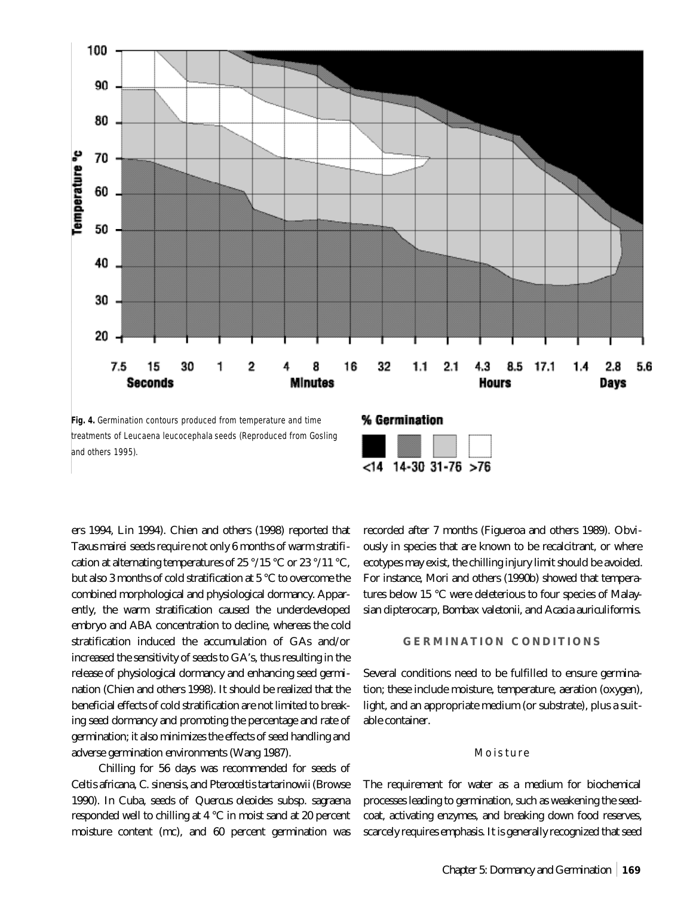

**Fig. 4.** Germination contours produced from temperature and time treatments of *Leucaena leucocephala* seeds (Reproduced from Gosling and others 1995).



ers 1994, Lin 1994). Chien and others (1998) reported that *Taxus mairei* seeds require not only 6 months of warm stratification at alternating temperatures of 25  $\degree$ /15  $\degree$ C or 23  $\degree$ /11  $\degree$ C, but also 3 months of cold stratification at 5 °C to overcome the combined morphological and physiological dormancy. Apparently, the warm stratification caused the underdeveloped embryo and ABA concentration to decline, whereas the cold stratification induced the accumulation of GAs and/or increased the sensitivity of seeds to GA's, thus resulting in the release of physiological dormancy and enhancing seed germination (Chien and others 1998). It should be realized that the beneficial effects of cold stratification are not limited to breaking seed dormancy and promoting the percentage and rate of germination; it also minimizes the effects of seed handling and adverse germination environments (Wang 1987).

Chilling for 56 days was recommended for seeds of *Celtis africana, C. sinensis,* and *Pteroceltis tartarinowii*(Browse 1990). In Cuba, seeds of *Quercus oleoides* subsp*. sagraena* responded well to chilling at 4 °C in moist sand at 20 percent moisture content (mc), and 60 percent germination was

recorded after 7 months (Figueroa and others 1989). Obviously in species that are known to be recalcitrant, or where ecotypes may exist, the chilling injury limit should be avoided. For instance, Mori and others (1990b) showed that temperatures below 15 °C were deleterious to four species of Malaysian dipterocarp, *Bombax valetonii*, and *Acacia auriculiformis*.

## **GERMINATION CONDITIONS**

Several conditions need to be fulfilled to ensure germination; these include moisture, temperature, aeration (oxygen), light, and an appropriate medium (or substrate), plus a suitable container.

#### Moisture

The requirement for water as a medium for biochemical processes leading to germination, such as weakening the seedcoat, activating enzymes, and breaking down food reserves, scarcely requires emphasis. It is generally recognized that seed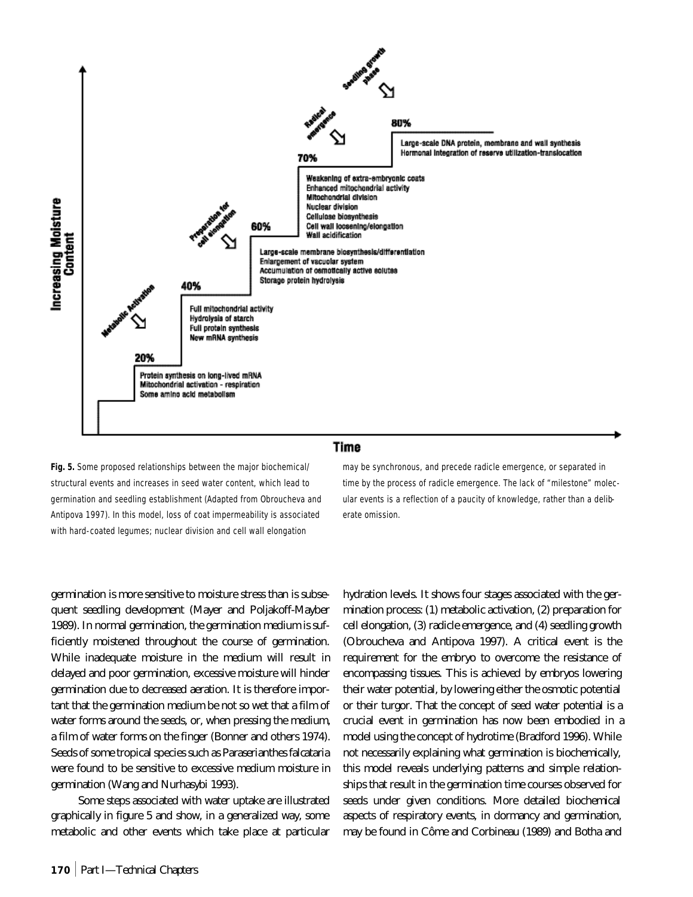

**Fig. 5.** Some proposed relationships between the major biochemical/ structural events and increases in seed water content, which lead to germination and seedling establishment (Adapted from Obroucheva and Antipova 1997). In this model, loss of coat impermeability is associated with hard-coated legumes; nuclear division and cell wall elongation

germination is more sensitive to moisture stress than is subsequent seedling development (Mayer and Poljakoff-Mayber 1989). In normal germination, the germination medium is sufficiently moistened throughout the course of germination. While inadequate moisture in the medium will result in delayed and poor germination, excessive moisture will hinder germination due to decreased aeration. It is therefore important that the germination medium be not so wet that a film of water forms around the seeds, or, when pressing the medium, a film of water forms on the finger (Bonner and others 1974). Seeds of some tropical species such as *Paraserianthes falcataria* were found to be sensitive to excessive medium moisture in germination (Wang and Nurhasybi 1993).

Some steps associated with water uptake are illustrated graphically in figure 5 and show, in a generalized way, some metabolic and other events which take place at particular

may be synchronous, and precede radicle emergence, or separated in time by the process of radicle emergence. The lack of "milestone" molecular events is a reflection of a paucity of knowledge, rather than a deliberate omission.

hydration levels. It shows four stages associated with the germination process: (1) metabolic activation, (2) preparation for cell elongation, (3) radicle emergence, and (4) seedling growth (Obroucheva and Antipova 1997). A critical event is the requirement for the embryo to overcome the resistance of encompassing tissues. This is achieved by embryos lowering their water potential, by lowering either the osmotic potential or their turgor. That the concept of seed water potential is a crucial event in germination has now been embodied in a model using the concept of hydrotime (Bradford 1996). While not necessarily explaining what germination is biochemically, this model reveals underlying patterns and simple relationships that result in the germination time courses observed for seeds under given conditions. More detailed biochemical aspects of respiratory events, in dormancy and germination, may be found in Côme and Corbineau (1989) and Botha and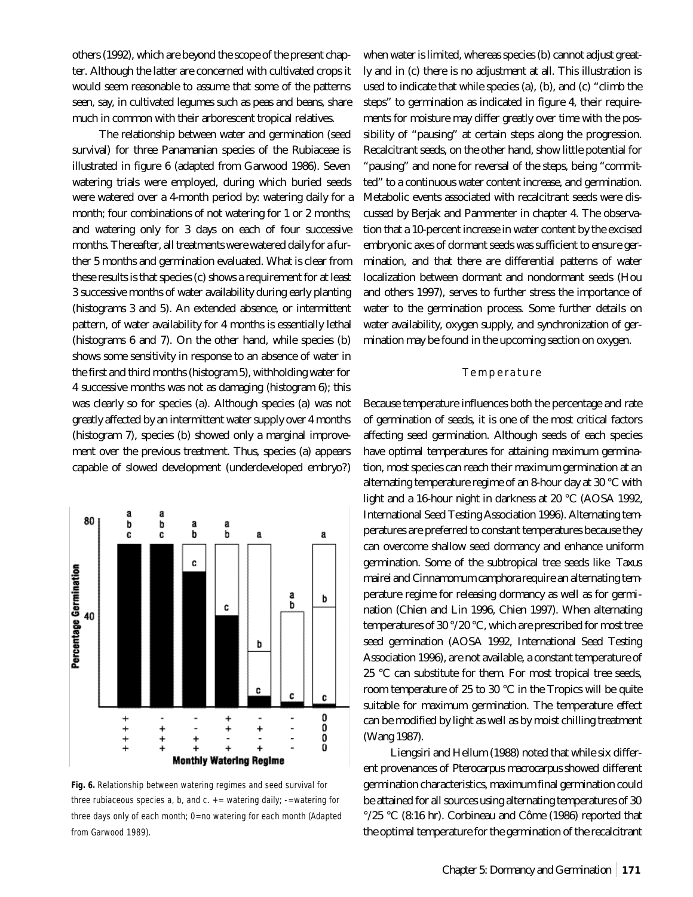others (1992), which are beyond the scope of the present chapter. Although the latter are concerned with cultivated crops it would seem reasonable to assume that some of the patterns seen, say, in cultivated legumes such as peas and beans, share much in common with their arborescent tropical relatives.

The relationship between water and germination (seed survival) for three Panamanian species of the Rubiaceae is illustrated in figure 6 (adapted from Garwood 1986). Seven watering trials were employed, during which buried seeds were watered over a 4-month period by: watering daily for a month; four combinations of not watering for 1 or 2 months; and watering only for 3 days on each of four successive months. Thereafter, all treatments were watered daily for a further 5 months and germination evaluated. What is clear from these results is that species (c) shows a requirement for at least 3 successive months of water availability during early planting (histograms 3 and 5). An extended absence, or intermittent pattern, of water availability for 4 months is essentially lethal (histograms 6 and 7). On the other hand, while species (b) shows some sensitivity in response to an absence of water in the first and third months (histogram 5), withholding water for 4 successive months was not as damaging (histogram 6); this was clearly so for species (a). Although species (a) was not greatly affected by an intermittent water supply over 4 months (histogram 7), species (b) showed only a marginal improvement over the previous treatment. Thus, species (a) appears capable of slowed development (underdeveloped embryo?)

a a 80 a b b a b b C C a a C Percentage Germination a b b c b c c C  $\ddot{\phantom{a}}$ 0 ÷  $+$ <br>+ ı, 0  $\ddot{}$  $\ddot{}$ ÷  $\ddot{}$ ÷ 0 0 ÷ ÷ ÷ **Monthly Watering Regime** 

**Fig. 6.** Relationship between watering regimes and seed survival for three rubiaceous species a, b, and  $c. +$  = watering daily; -=watering for three days only of each month; 0=no watering for each month (Adapted from Garwood 1989).

when water is limited, whereas species (b) cannot adjust greatly and in (c) there is no adjustment at all. This illustration is used to indicate that while species (a), (b), and (c) "climb the steps" to germination as indicated in figure 4, their requirements for moisture may differ greatly over time with the possibility of "pausing" at certain steps along the progression. Recalcitrant seeds, on the other hand, show little potential for "pausing" and none for reversal of the steps, being "committed" to a continuous water content increase, and germination. Metabolic events associated with recalcitrant seeds were discussed by Berjak and Pammenter in chapter 4. The observation that a 10-percent increase in water content by the excised embryonic axes of dormant seeds was sufficient to ensure germination, and that there are differential patterns of water localization between dormant and nondormant seeds (Hou and others 1997), serves to further stress the importance of water to the germination process. Some further details on water availability, oxygen supply, and synchronization of germination may be found in the upcoming section on oxygen.

#### Temperature

Because temperature influences both the percentage and rate of germination of seeds, it is one of the most critical factors affecting seed germination. Although seeds of each species have optimal temperatures for attaining maximum germination, most species can reach their maximum germination at an alternating temperature regime of an 8-hour day at 30 °C with light and a 16-hour night in darkness at 20 °C (AOSA 1992, International Seed Testing Association 1996). Alternating temperatures are preferred to constant temperatures because they can overcome shallow seed dormancy and enhance uniform germination. Some of the subtropical tree seeds like *Taxus mairei* and *Cinnamomum camphora* require an alternating temperature regime for releasing dormancy as well as for germination (Chien and Lin 1996, Chien 1997). When alternating temperatures of 30 °/20 °C, which are prescribed for most tree seed germination (AOSA 1992, International Seed Testing Association 1996), are not available, a constant temperature of 25 °C can substitute for them. For most tropical tree seeds, room temperature of 25 to 30 °C in the Tropics will be quite suitable for maximum germination. The temperature effect can be modified by light as well as by moist chilling treatment (Wang 1987).

Liengsiri and Hellum (1988) noted that while six different provenances of *Pterocarpus macrocarpus* showed different germination characteristics, maximum final germination could be attained for all sources using alternating temperatures of 30 °/25 °C (8:16 hr). Corbineau and Côme (1986) reported that the optimal temperature for the germination of the recalcitrant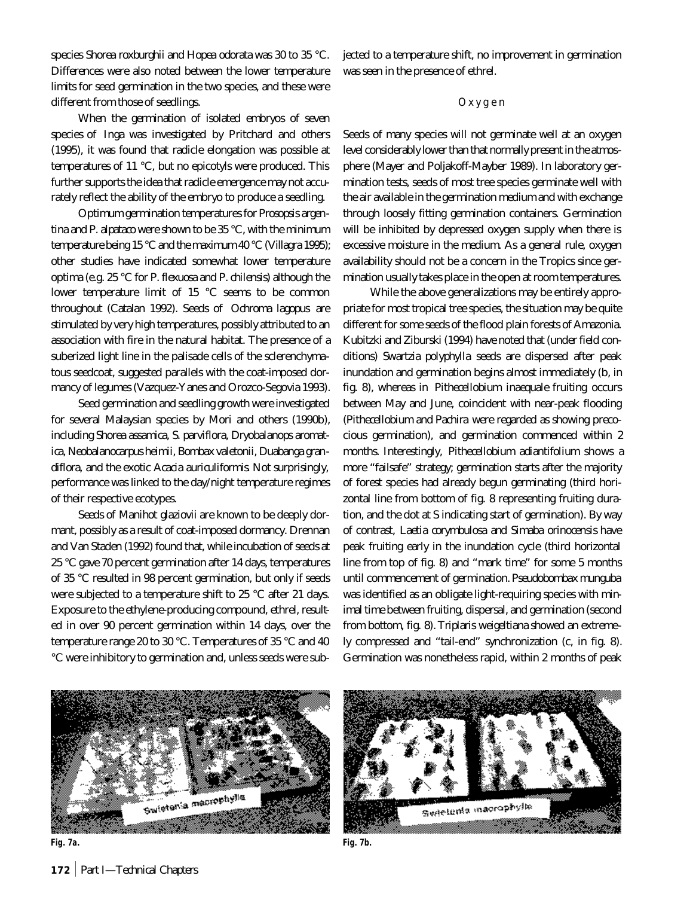species *Shorea roxburghii* and *Hopea odorata* was 30 to 35 °C. Differences were also noted between the lower temperature limits for seed germination in the two species, and these were different from those of seedlings.

When the germination of isolated embryos of seven species of *Inga* was investigated by Pritchard and others (1995), it was found that radicle elongation was possible at temperatures of 11 °C, but no epicotyls were produced. This further supports the idea that radicle emergence may not accurately reflect the ability of the embryo to produce a seedling.

Optimum germination temperatures for *Prosopsis argentina* and *P. alpataco* were shown to be 35 °C, with the minimum temperature being 15 °C and the maximum 40 °C (Villagra 1995); other studies have indicated somewhat lower temperature optima (e.g. 25 °C for *P. flexuosa* and *P. chilensis*) although the lower temperature limit of 15 °C seems to be common throughout (Catalan 1992). Seeds of *Ochroma lagopus* are stimulated by very high temperatures, possibly attributed to an association with fire in the natural habitat. The presence of a suberized light line in the palisade cells of the sclerenchymatous seedcoat, suggested parallels with the coat-imposed dormancy of legumes (Vazquez-Yanes and Orozco-Segovia 1993).

Seed germination and seedling growth were investigated for several Malaysian species by Mori and others (1990b), including *Shorea assamica, S. parviflora, Dryobalanops aromatica, Neobalanocarpus heimii, Bombax valetonii, Duabanga grandiflora,* and the exotic *Acacia auriculiformis*. Not surprisingly, performance was linked to the day/night temperature regimes of their respective ecotypes.

Seeds of *Manihot glaziovii* are known to be deeply dormant, possibly as a result of coat-imposed dormancy. Drennan and Van Staden (1992) found that, while incubation of seeds at 25 °C gave 70 percent germination after 14 days, temperatures of 35 °C resulted in 98 percent germination, but only if seeds were subjected to a temperature shift to 25 °C after 21 days. Exposure to the ethylene-producing compound, ethrel, resulted in over 90 percent germination within 14 days, over the temperature range 20 to 30 °C. Temperatures of 35 °C and 40 °C were inhibitory to germination and, unless seeds were subjected to a temperature shift, no improvement in germination was seen in the presence of ethrel.

## Oxygen

Seeds of many species will not germinate well at an oxygen level considerably lower than that normally present in the atmosphere (Mayer and Poljakoff-Mayber 1989). In laboratory germination tests, seeds of most tree species germinate well with the air available in the germination medium and with exchange through loosely fitting germination containers. Germination will be inhibited by depressed oxygen supply when there is excessive moisture in the medium. As a general rule, oxygen availability should not be a concern in the Tropics since germination usually takes place in the open at room temperatures.

While the above generalizations may be entirely appropriate for most tropical tree species, the situation may be quite different for some seeds of the flood plain forests of Amazonia. Kubitzki and Ziburski (1994) have noted that (under field conditions) *Swartzia polyphylla* seeds are dispersed after peak inundation and germination begins almost immediately (b, in fig. 8), whereas in *Pithecellobium inaequale* fruiting occurs between May and June, coincident with near-peak flooding (*Pithecellobium* and *Pachira* were regarded as showing precocious germination), and germination commenced within 2 months. Interestingly, *Pithecellobium adiantifolium* shows a more "failsafe" strategy; germination starts after the majority of forest species had already begun germinating (third horizontal line from bottom of fig. 8 representing fruiting duration, and the dot at S indicating start of germination). By way of contrast, *Laetia corymbulosa* and *Simaba orinocensis* have peak fruiting early in the inundation cycle (third horizontal line from top of fig. 8) and "mark time" for some 5 months until commencement of germination. *Pseudobombax munguba* was identified as an obligate light-requiring species with minimal time between fruiting, dispersal, and germination (second from bottom, fig. 8). *Triplaris weigeltiana* showed an extremely compressed and "tail-end" synchronization (c, in fig. 8). Germination was nonetheless rapid, within 2 months of peak





**Fig. 7a. Fig. 7b.**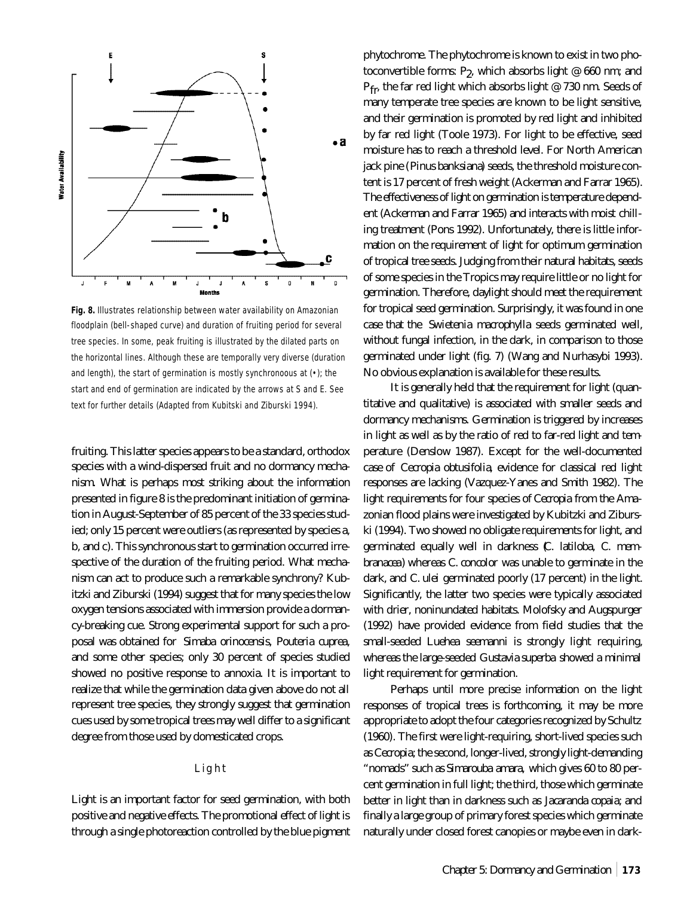

**Fig. 8.** Illustrates relationship between water availability on Amazonian floodplain (bell-shaped curve) and duration of fruiting period for several tree species. In some, peak fruiting is illustrated by the dilated parts on the horizontal lines. Although these are temporally very diverse (duration and length), the start of germination is mostly synchronoous at (•); the start and end of germination are indicated by the arrows at S and E. See text for further details (Adapted from Kubitski and Ziburski 1994).

fruiting. This latter species appears to be a standard, orthodox species with a wind-dispersed fruit and no dormancy mechanism. What is perhaps most striking about the information presented in figure 8 is the predominant initiation of germination in August-September of 85 percent of the 33 species studied; only 15 percent were outliers (as represented by species a, b, and c). This synchronous start to germination occurred irrespective of the duration of the fruiting period. What mechanism can act to produce such a remarkable synchrony? Kubitzki and Ziburski (1994) suggest that for many species the low oxygen tensions associated with immersion provide a dormancy-breaking cue. Strong experimental support for such a proposal was obtained for *Simaba orinocensis, Pouteria cuprea,* and some other species; only 30 percent of species studied showed no positive response to annoxia. It is important to realize that while the germination data given above do not all represent tree species, they strongly suggest that germination cues used by some tropical trees may well differ to a significant degree from those used by domesticated crops.

## Light

Light is an important factor for seed germination, with both positive and negative effects. The promotional effect of light is through a single photoreaction controlled by the blue pigment

phytochrome. The phytochrome is known to exist in two photoconvertible forms:  $P_2$ , which absorbs light @ 660 nm; and P<sub>fr</sub>, the far red light which absorbs light @ 730 nm. Seeds of many temperate tree species are known to be light sensitive, and their germination is promoted by red light and inhibited by far red light (Toole 1973). For light to be effective, seed moisture has to reach a threshold level. For North American jack pine (*Pinus banksiana*) seeds, the threshold moisture content is 17 percent of fresh weight (Ackerman and Farrar 1965). The effectiveness of light on germination is temperature dependent (Ackerman and Farrar 1965) and interacts with moist chilling treatment (Pons 1992). Unfortunately, there is little information on the requirement of light for optimum germination of tropical tree seeds. Judging from their natural habitats, seeds of some species in the Tropics may require little or no light for germination. Therefore, daylight should meet the requirement for tropical seed germination. Surprisingly, it was found in one case that the *Swietenia macrophylla* seeds germinated well, without fungal infection, in the dark, in comparison to those germinated under light (fig. 7) (Wang and Nurhasybi 1993). No obvious explanation is available for these results.

It is generally held that the requirement for light (quantitative and qualitative) is associated with smaller seeds and dormancy mechanisms. Germination is triggered by increases in light as well as by the ratio of red to far-red light and temperature (Denslow 1987). Except for the well-documented case of *Cecropia obtusifolia*, evidence for classical red light responses are lacking (Vazquez-Yanes and Smith 1982). The light requirements for four species of *Cecropia* from the Amazonian flood plains were investigated by Kubitzki and Ziburski (1994). Two showed no obligate requirements for light, and germinated equally well in darkness (*C. latiloba, C. membranacea*) whereas *C. concolor* was unable to germinate in the dark, and *C. ulei* germinated poorly (17 percent) in the light. Significantly, the latter two species were typically associated with drier, noninundated habitats. Molofsky and Augspurger (1992) have provided evidence from field studies that the small-seeded *Luehea seemanni* is strongly light requiring, whereas the large-seeded *Gustavia superba* showed a minimal light requirement for germination.

Perhaps until more precise information on the light responses of tropical trees is forthcoming, it may be more appropriate to adopt the four categories recognized by Schultz (1960). The first were light-requiring, short-lived species such as *Cecropia*; the second, longer-lived, strongly light-demanding "nomads" such as *Simarouba amara,* which gives 60 to 80 percent germination in full light; the third, those which germinate better in light than in darkness such as *Jacaranda copaia*; and finally a large group of primary forest species which germinate naturally under closed forest canopies or maybe even in dark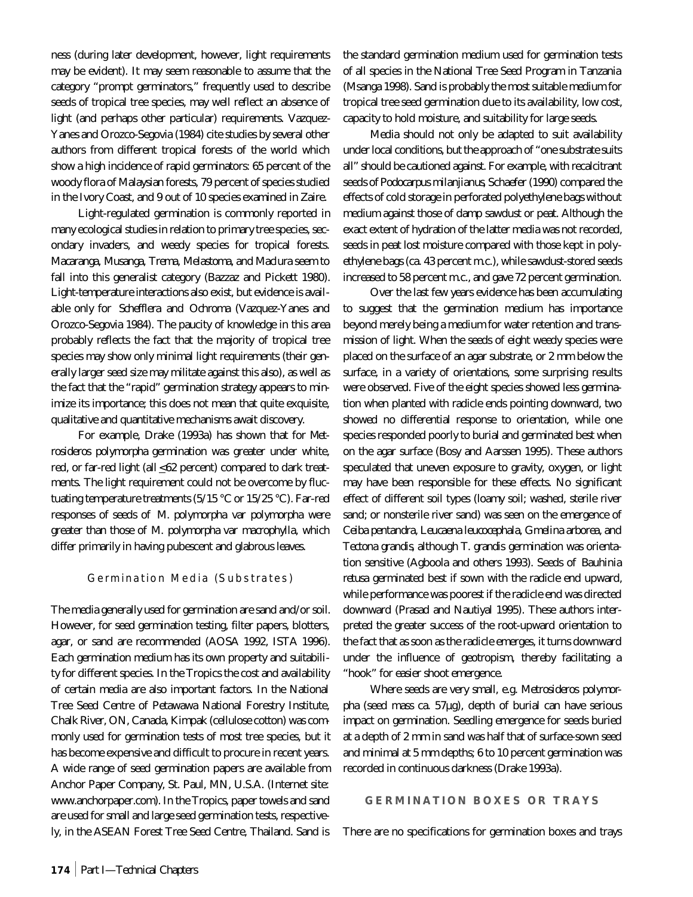ness (during later development, however, light requirements may be evident). It may seem reasonable to assume that the category "prompt germinators," frequently used to describe seeds of tropical tree species, may well reflect an absence of light (and perhaps other particular) requirements. Vazquez-Yanes and Orozco-Segovia (1984) cite studies by several other authors from different tropical forests of the world which show a high incidence of rapid germinators: 65 percent of the woody flora of Malaysian forests, 79 percent of species studied in the Ivory Coast, and 9 out of 10 species examined in Zaire.

Light-regulated germination is commonly reported in many ecological studies in relation to primary tree species, secondary invaders, and weedy species for tropical forests. *Macaranga, Musanga, Trema, Melastoma,* and *Maclura* seem to fall into this generalist category (Bazzaz and Pickett 1980). Light-temperature interactions also exist, but evidence is available only for *Schefflera* and *Ochroma* (Vazquez-Yanes and Orozco-Segovia 1984). The paucity of knowledge in this area probably reflects the fact that the majority of tropical tree species may show only minimal light requirements (their generally larger seed size may militate against this also), as well as the fact that the "rapid" germination strategy appears to minimize its importance; this does not mean that quite exquisite, qualitative and quantitative mechanisms await discovery.

For example, Drake (1993a) has shown that for M*etrosideros polymorpha* germination was greater under white, red, or far-red light (all  $\leq 62$  percent) compared to dark treatments. The light requirement could not be overcome by fluctuating temperature treatments (5/15 °C or 15/25 °C). Far-red responses of seeds of *M. polymorpha* var *polymorpha* were greater than those of *M. polymorpha* var *macrophylla*, which differ primarily in having pubescent and glabrous leaves.

## Germination Media (Substrates)

The media generally used for germination are sand and/or soil. However, for seed germination testing, filter papers, blotters, agar, or sand are recommended (AOSA 1992, ISTA 1996). Each germination medium has its own property and suitability for different species. In the Tropics the cost and availability of certain media are also important factors. In the National Tree Seed Centre of Petawawa National Forestry Institute, Chalk River, ON, Canada, Kimpak (cellulose cotton) was commonly used for germination tests of most tree species, but it has become expensive and difficult to procure in recent years. A wide range of seed germination papers are available from Anchor Paper Company, St. Paul, MN, U.S.A. (Internet site: www.anchorpaper.com). In the Tropics, paper towels and sand are used for small and large seed germination tests, respectively, in the ASEAN Forest Tree Seed Centre, Thailand. Sand is the standard germination medium used for germination tests of all species in the National Tree Seed Program in Tanzania (Msanga 1998). Sand is probably the most suitable medium for tropical tree seed germination due to its availability, low cost, capacity to hold moisture, and suitability for large seeds.

Media should not only be adapted to suit availability under local conditions, but the approach of "one substrate suits all" should be cautioned against. For example, with recalcitrant seeds of *Podocarpus milanjianus*, Schaefer (1990) compared the effects of cold storage in perforated polyethylene bags without medium against those of damp sawdust or peat. Although the exact extent of hydration of the latter media was not recorded, seeds in peat lost moisture compared with those kept in polyethylene bags (ca. 43 percent m.c.), while sawdust-stored seeds increased to 58 percent m.c., and gave 72 percent germination.

Over the last few years evidence has been accumulating to suggest that the germination medium has importance beyond merely being a medium for water retention and transmission of light. When the seeds of eight weedy species were placed on the surface of an agar substrate, or 2 mm below the surface, in a variety of orientations, some surprising results were observed. Five of the eight species showed less germination when planted with radicle ends pointing downward, two showed no differential response to orientation, while one species responded poorly to burial and germinated best when on the agar surface (Bosy and Aarssen 1995). These authors speculated that uneven exposure to gravity, oxygen, or light may have been responsible for these effects. No significant effect of different soil types (loamy soil; washed, sterile river sand; or nonsterile river sand) was seen on the emergence of *Ceiba pentandra, Leucaena leucocephala, Gmelina arborea,* and *Tectona grandis*, although *T. grandis* germination was orientation sensitive (Agboola and others 1993). Seeds of *Bauhinia retusa* germinated best if sown with the radicle end upward, while performance was poorest if the radicle end was directed downward (Prasad and Nautiyal 1995). These authors interpreted the greater success of the root-upward orientation to the fact that as soon as the radicle emerges, it turns downward under the influence of geotropism, thereby facilitating a "hook" for easier shoot emergence.

Where seeds are very small, e.g. *Metrosideros polymorpha* (seed mass ca. 57µg), depth of burial can have serious impact on germination. Seedling emergence for seeds buried at a depth of 2 mm in sand was half that of surface-sown seed and minimal at 5 mm depths; 6 to 10 percent germination was recorded in continuous darkness (Drake 1993a).

## **GERMINATION BOXES OR TRAYS**

There are no specifications for germination boxes and trays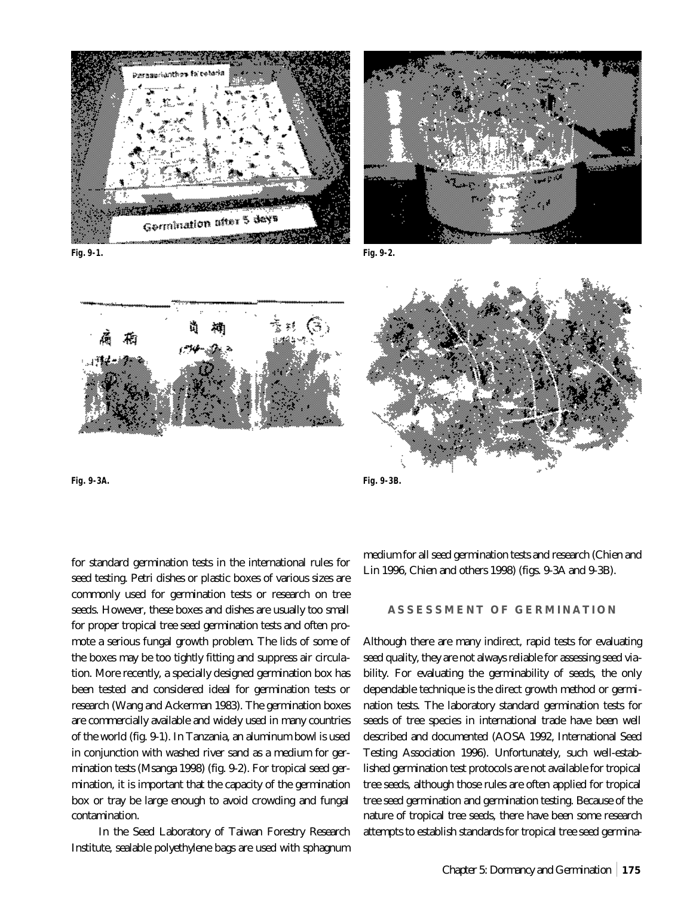





**Fig. 9-3A. Fig. 9-3B.** 

for standard germination tests in the international rules for seed testing. Petri dishes or plastic boxes of various sizes are commonly used for germination tests or research on tree seeds. However, these boxes and dishes are usually too small for proper tropical tree seed germination tests and often promote a serious fungal growth problem. The lids of some of the boxes may be too tightly fitting and suppress air circulation. More recently, a specially designed germination box has been tested and considered ideal for germination tests or research (Wang and Ackerman 1983). The germination boxes are commercially available and widely used in many countries of the world (fig. 9-1). In Tanzania, an aluminum bowl is used in conjunction with washed river sand as a medium for germination tests (Msanga 1998) (fig. 9-2). For tropical seed germination, it is important that the capacity of the germination box or tray be large enough to avoid crowding and fungal contamination.

In the Seed Laboratory of Taiwan Forestry Research Institute, sealable polyethylene bags are used with sphagnum



medium for all seed germination tests and research (Chien and Lin 1996, Chien and others 1998) (figs. 9-3A and 9-3B).

## **ASSESSMENT OF GERMINATION**

Although there are many indirect, rapid tests for evaluating seed quality, they are not always reliable for assessing seed viability. For evaluating the germinability of seeds, the only dependable technique is the direct growth method or germination tests. The laboratory standard germination tests for seeds of tree species in international trade have been well described and documented (AOSA 1992, International Seed Testing Association 1996). Unfortunately, such well-established germination test protocols are not available for tropical tree seeds, although those rules are often applied for tropical tree seed germination and germination testing. Because of the nature of tropical tree seeds, there have been some research attempts to establish standards for tropical tree seed germina